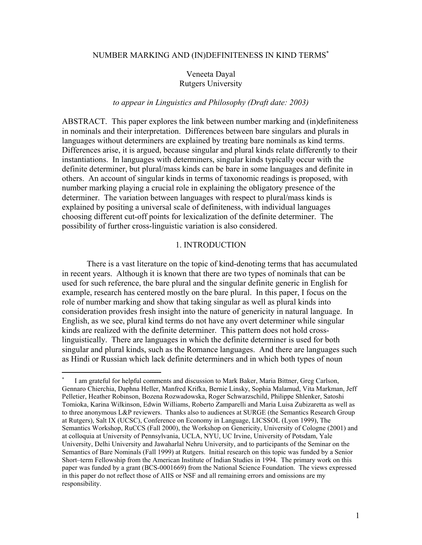#### NUMBER MARKING AND (IN)DEFINITENESS IN KIND TERMS[∗](#page-0-0)

# Veneeta Dayal Rutgers University

# *to appear in Linguistics and Philosophy (Draft date: 2003)*

ABSTRACT. This paper explores the link between number marking and (in)definiteness in nominals and their interpretation. Differences between bare singulars and plurals in languages without determiners are explained by treating bare nominals as kind terms. Differences arise, it is argued, because singular and plural kinds relate differently to their instantiations. In languages with determiners, singular kinds typically occur with the definite determiner, but plural/mass kinds can be bare in some languages and definite in others. An account of singular kinds in terms of taxonomic readings is proposed, with number marking playing a crucial role in explaining the obligatory presence of the determiner. The variation between languages with respect to plural/mass kinds is explained by positing a universal scale of definiteness, with individual languages choosing different cut-off points for lexicalization of the definite determiner. The possibility of further cross-linguistic variation is also considered.

#### 1. INTRODUCTION

There is a vast literature on the topic of kind-denoting terms that has accumulated in recent years. Although it is known that there are two types of nominals that can be used for such reference, the bare plural and the singular definite generic in English for example, research has centered mostly on the bare plural. In this paper, I focus on the role of number marking and show that taking singular as well as plural kinds into consideration provides fresh insight into the nature of genericity in natural language. In English, as we see, plural kind terms do not have any overt determiner while singular kinds are realized with the definite determiner. This pattern does not hold crosslinguistically. There are languages in which the definite determiner is used for both singular and plural kinds, such as the Romance languages. And there are languages such as Hindi or Russian which lack definite determiners and in which both types of noun

<span id="page-0-0"></span><sup>∗</sup> I am grateful for helpful comments and discussion to Mark Baker, Maria Bittner, Greg Carlson, Gennaro Chierchia, Daphna Heller, Manfred Krifka, Bernie Linsky, Sophia Malamud, Vita Markman, Jeff Pelletier, Heather Robinson, Bozena Rozwadowska, Roger Schwarzschild, Philippe Shlenker, Satoshi Tomioka, Karina Wilkinson, Edwin Williams, Roberto Zamparelli and Maria Luisa Zubizaretta as well as to three anonymous L&P reviewers. Thanks also to audiences at SURGE (the Semantics Research Group at Rutgers), Salt IX (UCSC), Conference on Economy in Language, LICSSOL (Lyon 1999), The Semantics Workshop, RuCCS (Fall 2000), the Workshop on Genericity, University of Cologne (2001) and at colloquia at University of Pennsylvania, UCLA, NYU, UC Irvine, University of Potsdam, Yale University, Delhi University and Jawaharlal Nehru University, and to participants of the Seminar on the Semantics of Bare Nominals (Fall 1999) at Rutgers. Initial research on this topic was funded by a Senior Short–term Fellowship from the American Institute of Indian Studies in 1994. The primary work on this paper was funded by a grant (BCS-0001669) from the National Science Foundation. The views expressed in this paper do not reflect those of AIIS or NSF and all remaining errors and omissions are my responsibility.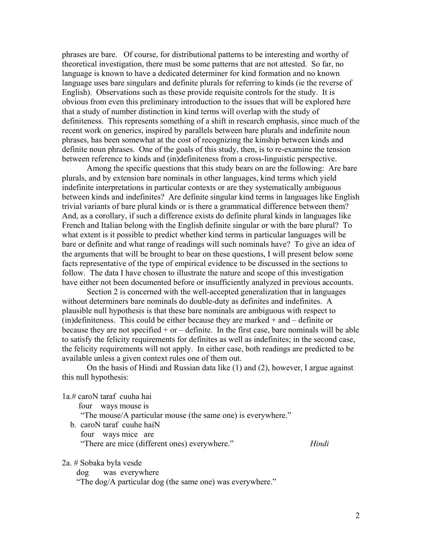phrases are bare. Of course, for distributional patterns to be interesting and worthy of theoretical investigation, there must be some patterns that are not attested. So far, no language is known to have a dedicated determiner for kind formation and no known language uses bare singulars and definite plurals for referring to kinds (ie the reverse of English). Observations such as these provide requisite controls for the study. It is obvious from even this preliminary introduction to the issues that will be explored here that a study of number distinction in kind terms will overlap with the study of definiteness. This represents something of a shift in research emphasis, since much of the recent work on generics, inspired by parallels between bare plurals and indefinite noun phrases, has been somewhat at the cost of recognizing the kinship between kinds and definite noun phrases. One of the goals of this study, then, is to re-examine the tension between reference to kinds and (in)definiteness from a cross-linguistic perspective.

Among the specific questions that this study bears on are the following: Are bare plurals, and by extension bare nominals in other languages, kind terms which yield indefinite interpretations in particular contexts or are they systematically ambiguous between kinds and indefinites? Are definite singular kind terms in languages like English trivial variants of bare plural kinds or is there a grammatical difference between them? And, as a corollary, if such a difference exists do definite plural kinds in languages like French and Italian belong with the English definite singular or with the bare plural? To what extent is it possible to predict whether kind terms in particular languages will be bare or definite and what range of readings will such nominals have? To give an idea of the arguments that will be brought to bear on these questions, I will present below some facts representative of the type of empirical evidence to be discussed in the sections to follow. The data I have chosen to illustrate the nature and scope of this investigation have either not been documented before or insufficiently analyzed in previous accounts.

Section 2 is concerned with the well-accepted generalization that in languages without determiners bare nominals do double-duty as definites and indefinites. A plausible null hypothesis is that these bare nominals are ambiguous with respect to  $(in)$ definiteness. This could be either because they are marked  $+$  and  $-$  definite or because they are not specified  $+$  or  $-$  definite. In the first case, bare nominals will be able to satisfy the felicity requirements for definites as well as indefinites; in the second case, the felicity requirements will not apply. In either case, both readings are predicted to be available unless a given context rules one of them out.

On the basis of Hindi and Russian data like (1) and (2), however, I argue against this null hypothesis:

1a.# caroN taraf cuuha hai

 four ways mouse is "The mouse/A particular mouse (the same one) is everywhere." b. caroN taraf cuuhe haiN four ways mice are "There are mice (different ones) everywhere." *Hindi* 

2a. # Sobaka byla vesde

dog was everywhere

"The dog/A particular dog (the same one) was everywhere."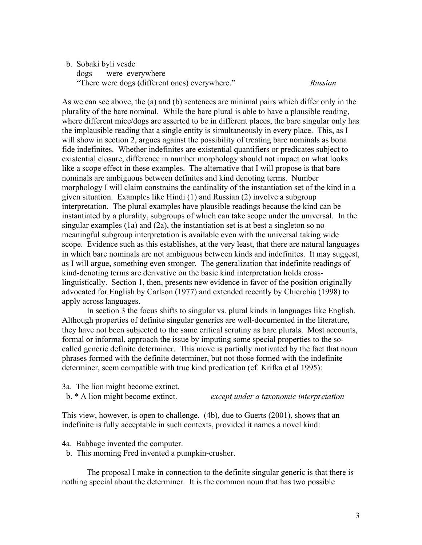#### b. Sobaki byli vesde

 dogs were everywhere "There were dogs (different ones) everywhere." *Russian*

As we can see above, the (a) and (b) sentences are minimal pairs which differ only in the plurality of the bare nominal. While the bare plural is able to have a plausible reading, where different mice/dogs are asserted to be in different places, the bare singular only has the implausible reading that a single entity is simultaneously in every place. This, as I will show in section 2, argues against the possibility of treating bare nominals as bona fide indefinites. Whether indefinites are existential quantifiers or predicates subject to existential closure, difference in number morphology should not impact on what looks like a scope effect in these examples. The alternative that I will propose is that bare nominals are ambiguous between definites and kind denoting terms. Number morphology I will claim constrains the cardinality of the instantiation set of the kind in a given situation. Examples like Hindi (1) and Russian (2) involve a subgroup interpretation. The plural examples have plausible readings because the kind can be instantiated by a plurality, subgroups of which can take scope under the universal. In the singular examples (1a) and (2a), the instantiation set is at best a singleton so no meaningful subgroup interpretation is available even with the universal taking wide scope. Evidence such as this establishes, at the very least, that there are natural languages in which bare nominals are not ambiguous between kinds and indefinites. It may suggest, as I will argue, something even stronger. The generalization that indefinite readings of kind-denoting terms are derivative on the basic kind interpretation holds crosslinguistically. Section 1, then, presents new evidence in favor of the position originally advocated for English by Carlson (1977) and extended recently by Chierchia (1998) to apply across languages.

In section 3 the focus shifts to singular vs. plural kinds in languages like English. Although properties of definite singular generics are well-documented in the literature, they have not been subjected to the same critical scrutiny as bare plurals. Most accounts, formal or informal, approach the issue by imputing some special properties to the socalled generic definite determiner. This move is partially motivated by the fact that noun phrases formed with the definite determiner, but not those formed with the indefinite determiner, seem compatible with true kind predication (cf. Krifka et al 1995):

3a. The lion might become extinct.

b. \* A lion might become extinct. *except under a taxonomic interpretation* 

This view, however, is open to challenge. (4b), due to Guerts (2001), shows that an indefinite is fully acceptable in such contexts, provided it names a novel kind:

4a. Babbage invented the computer.

b. This morning Fred invented a pumpkin-crusher.

The proposal I make in connection to the definite singular generic is that there is nothing special about the determiner. It is the common noun that has two possible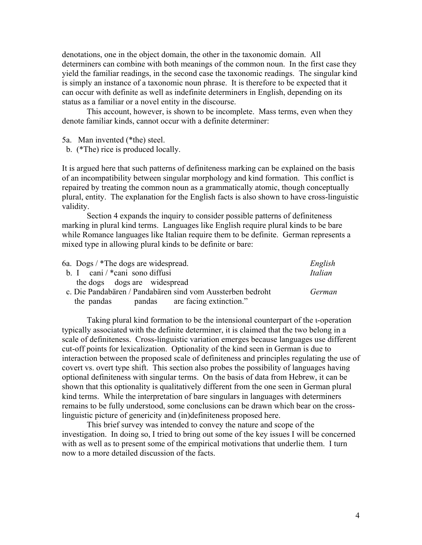denotations, one in the object domain, the other in the taxonomic domain. All determiners can combine with both meanings of the common noun. In the first case they yield the familiar readings, in the second case the taxonomic readings. The singular kind is simply an instance of a taxonomic noun phrase. It is therefore to be expected that it can occur with definite as well as indefinite determiners in English, depending on its status as a familiar or a novel entity in the discourse.

This account, however, is shown to be incomplete. Mass terms, even when they denote familiar kinds, cannot occur with a definite determiner:

5a. Man invented (\*the) steel.

b. (\*The) rice is produced locally.

It is argued here that such patterns of definiteness marking can be explained on the basis of an incompatibility between singular morphology and kind formation. This conflict is repaired by treating the common noun as a grammatically atomic, though conceptually plural, entity. The explanation for the English facts is also shown to have cross-linguistic validity.

Section 4 expands the inquiry to consider possible patterns of definiteness marking in plural kind terms. Languages like English require plural kinds to be bare while Romance languages like Italian require them to be definite. German represents a mixed type in allowing plural kinds to be definite or bare:

| 6a. Dogs / *The dogs are widespread.                       | English |
|------------------------------------------------------------|---------|
| b. I cani $\frac{*}{\text{cani}}$ sono diffusi             | Italian |
| the dogs dogs are widespread                               |         |
| c. Die Pandabären / Pandabären sind vom Aussterben bedroht | German  |
| pandas are facing extinction."<br>the pandas               |         |

Taking plural kind formation to be the intensional counterpart of the ι-operation typically associated with the definite determiner, it is claimed that the two belong in a scale of definiteness. Cross-linguistic variation emerges because languages use different cut-off points for lexicalization. Optionality of the kind seen in German is due to interaction between the proposed scale of definiteness and principles regulating the use of covert vs. overt type shift. This section also probes the possibility of languages having optional definiteness with singular terms. On the basis of data from Hebrew, it can be shown that this optionality is qualitatively different from the one seen in German plural kind terms. While the interpretation of bare singulars in languages with determiners remains to be fully understood, some conclusions can be drawn which bear on the crosslinguistic picture of genericity and (in)definiteness proposed here.

This brief survey was intended to convey the nature and scope of the investigation. In doing so, I tried to bring out some of the key issues I will be concerned with as well as to present some of the empirical motivations that underlie them. I turn now to a more detailed discussion of the facts.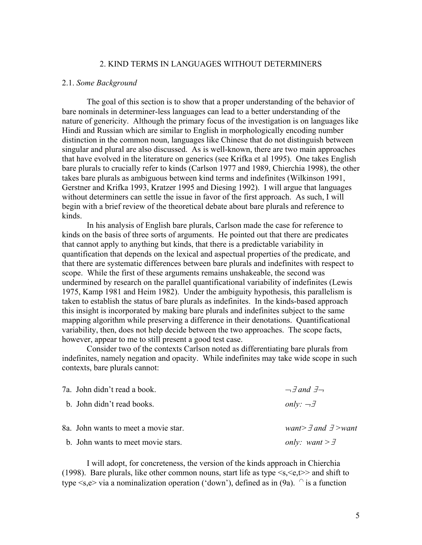### 2. KIND TERMS IN LANGUAGES WITHOUT DETERMINERS

#### 2.1. *Some Background*

The goal of this section is to show that a proper understanding of the behavior of bare nominals in determiner-less languages can lead to a better understanding of the nature of genericity. Although the primary focus of the investigation is on languages like Hindi and Russian which are similar to English in morphologically encoding number distinction in the common noun, languages like Chinese that do not distinguish between singular and plural are also discussed. As is well-known, there are two main approaches that have evolved in the literature on generics (see Krifka et al 1995). One takes English bare plurals to crucially refer to kinds (Carlson 1977 and 1989, Chierchia 1998), the other takes bare plurals as ambiguous between kind terms and indefinites (Wilkinson 1991, Gerstner and Krifka 1993, Kratzer 1995 and Diesing 1992). I will argue that languages without determiners can settle the issue in favor of the first approach. As such, I will begin with a brief review of the theoretical debate about bare plurals and reference to kinds.

In his analysis of English bare plurals, Carlson made the case for reference to kinds on the basis of three sorts of arguments. He pointed out that there are predicates that cannot apply to anything but kinds, that there is a predictable variability in quantification that depends on the lexical and aspectual properties of the predicate, and that there are systematic differences between bare plurals and indefinites with respect to scope. While the first of these arguments remains unshakeable, the second was undermined by research on the parallel quantificational variability of indefinites (Lewis 1975, Kamp 1981 and Heim 1982). Under the ambiguity hypothesis, this parallelism is taken to establish the status of bare plurals as indefinites. In the kinds-based approach this insight is incorporated by making bare plurals and indefinites subject to the same mapping algorithm while preserving a difference in their denotations. Quantificational variability, then, does not help decide between the two approaches. The scope facts, however, appear to me to still present a good test case.

Consider two of the contexts Carlson noted as differentiating bare plurals from indefinites, namely negation and opacity. While indefinites may take wide scope in such contexts, bare plurals cannot:

| 7a. John didn't read a book.         | $\neg \exists$ and $\exists \neg$    |
|--------------------------------------|--------------------------------------|
| b. John didn't read books.           | only: $\neg \exists$                 |
| 8a. John wants to meet a movie star. | want> $\exists$ and $\exists$ > want |
| b. John wants to meet movie stars.   | only: want $> \exists$               |

I will adopt, for concreteness, the version of the kinds approach in Chierchia (1998). Bare plurals, like other common nouns, start life as type  $\leq s, \leq e, t \geq$  and shift to type  $\leq s, e$  via a nominalization operation ('down'), defined as in (9a).  $\cap$  is a function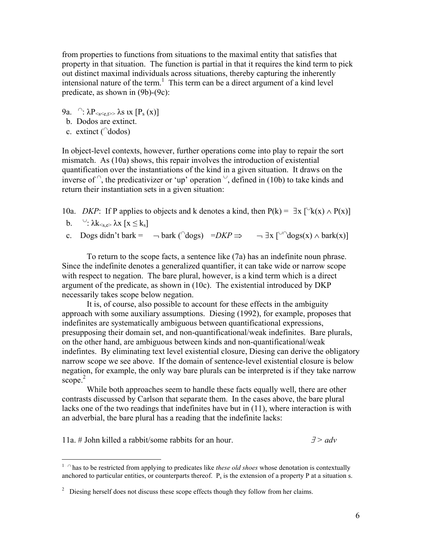from properties to functions from situations to the maximal entity that satisfies that property in that situation. The function is partial in that it requires the kind term to pick out distinct maximal individuals across situations, thereby capturing the inherently intensional nature of the term. [1](#page-5-0) This term can be a direct argument of a kind level predicate, as shown in (9b)-(9c):

- 9a.  $\bigcap_{x} \Omega_{\text{cscat}} > \lambda s$  ix  $[P_s(x)]$
- b. Dodos are extinct.
- c. extinct (<sup>∩</sup>dodos)

In object-level contexts, however, further operations come into play to repair the sort mismatch. As (10a) shows, this repair involves the introduction of existential quantification over the instantiations of the kind in a given situation. It draws on the inverse of  $\hat{ }$ , the predicativizer or 'up' operation  $\hat{ }$ , defined in (10b) to take kinds and return their instantiation sets in a given situation:

10a. *DKP*: If P applies to objects and k denotes a kind, then  $P(k) = \exists x \, \lbrack \forall k(x) \land P(x) \rbrack$ 

b.  $\forall$ :  $\lambda k_{\leq s.e}$   $\lambda x$  [ $x \leq k_s$ ]

<u>.</u>

c. Dogs didn't bark =  $\neg$  bark ( $\bigcirc$ dogs) =*DKP*  $\Rightarrow$   $\neg$   $\exists$ x  $\bigcirc$  $\bigcirc$ dogs(x)  $\land$  bark(x)]

To return to the scope facts, a sentence like (7a) has an indefinite noun phrase. Since the indefinite denotes a generalized quantifier, it can take wide or narrow scope with respect to negation. The bare plural, however, is a kind term which is a direct argument of the predicate, as shown in (10c). The existential introduced by DKP necessarily takes scope below negation.

It is, of course, also possible to account for these effects in the ambiguity approach with some auxiliary assumptions. Diesing (1992), for example, proposes that indefinites are systematically ambiguous between quantificational expressions, presupposing their domain set, and non-quantificational/weak indefinites. Bare plurals, on the other hand, are ambiguous between kinds and non-quantificational/weak indefintes. By eliminating text level existential closure, Diesing can derive the obligatory narrow scope we see above. If the domain of sentence-level existential closure is below negation, for example, the only way bare plurals can be interpreted is if they take narrow scope. $2$ 

While both approaches seem to handle these facts equally well, there are other contrasts discussed by Carlson that separate them. In the cases above, the bare plural lacks one of the two readings that indefinites have but in (11), where interaction is with an adverbial, the bare plural has a reading that the indefinite lacks:

11a. # John killed a rabbit/some rabbits for an hour. ∃ *> adv* 

<span id="page-5-0"></span><sup>1</sup> <sup>∩</sup> has to be restricted from applying to predicates like *these old shoes* whose denotation is contextually anchored to particular entities, or counterparts thereof.  $P_s$  is the extension of a property P at a situation s.

<span id="page-5-1"></span> $2^{\circ}$  Diesing herself does not discuss these scope effects though they follow from her claims.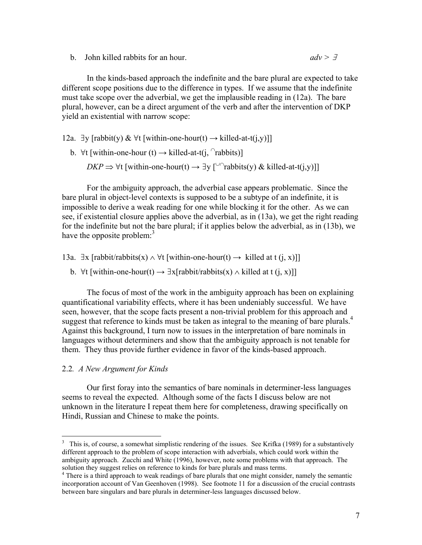b. John killed rabbits for an hour. *adv >* <sup>∃</sup>

In the kinds-based approach the indefinite and the bare plural are expected to take different scope positions due to the difference in types. If we assume that the indefinite must take scope over the adverbial, we get the implausible reading in (12a). The bare plural, however, can be a direct argument of the verb and after the intervention of DKP yield an existential with narrow scope:

12a. ∃y [rabbit(y) &  $\forall$ t [within-one-hour(t)  $\rightarrow$  killed-at-t(j,y)]]

b.  $\forall$ t [within-one-hour (t) → killed-at-t(j,  $\cap$ rabbits)]

*DKP*  $\Rightarrow$   $\forall$ t [within-one-hour(t)  $\rightarrow \exists$  y [<sup>∪∩</sup>rabbits(y) & killed-at-t(j,y)]]

For the ambiguity approach, the adverbial case appears problematic. Since the bare plural in object-level contexts is supposed to be a subtype of an indefinite, it is impossible to derive a weak reading for one while blocking it for the other. As we can see, if existential closure applies above the adverbial, as in (13a), we get the right reading for the indefinite but not the bare plural; if it applies below the adverbial, as in (13b), we have the opposite problem:<sup>[3](#page-6-0)</sup>

13a. ∃x [rabbit/rabbits(x)  $\land$  ∀t [within-one-hour(t)  $\rightarrow$  killed at t (j, x)]]

b. ∀t [within-one-hour(t)  $\rightarrow \exists x$ [rabbit/rabbits(x)  $\land$  killed at t (j, x)]]

The focus of most of the work in the ambiguity approach has been on explaining quantificational variability effects, where it has been undeniably successful. We have seen, however, that the scope facts present a non-trivial problem for this approach and suggest that reference to kinds must be taken as integral to the meaning of bare plurals.<sup>[4](#page-6-1)</sup> Against this background, I turn now to issues in the interpretation of bare nominals in languages without determiners and show that the ambiguity approach is not tenable for them. They thus provide further evidence in favor of the kinds-based approach.

### 2.2*. A New Argument for Kinds*

Our first foray into the semantics of bare nominals in determiner-less languages seems to reveal the expected. Although some of the facts I discuss below are not unknown in the literature I repeat them here for completeness, drawing specifically on Hindi, Russian and Chinese to make the points.

<span id="page-6-0"></span><sup>&</sup>lt;sup>3</sup> This is, of course, a somewhat simplistic rendering of the issues. See Krifka (1989) for a substantively different approach to the problem of scope interaction with adverbials, which could work within the ambiguity approach. Zucchi and White (1996), however, note some problems with that approach. The solution they suggest relies on reference to kinds for bare plurals and mass terms.

<span id="page-6-1"></span><sup>&</sup>lt;sup>4</sup> There is a third approach to weak readings of bare plurals that one might consider, namely the semantic incorporation account of Van Geenhoven (1998). See footnote 11 for a discussion of the crucial contrasts between bare singulars and bare plurals in determiner-less languages discussed below.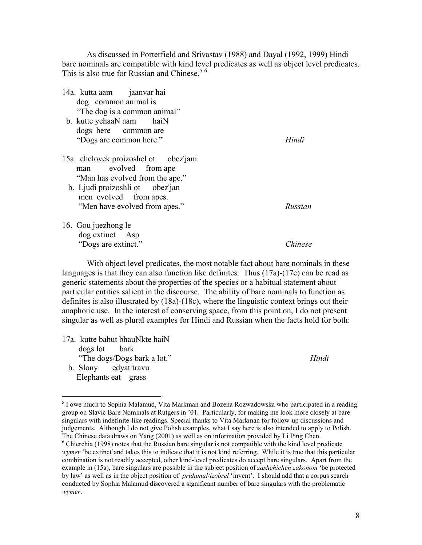As discussed in Porterfield and Srivastav (1988) and Dayal (1992, 1999) Hindi bare nominals are compatible with kind level predicates as well as object level predicates. This is also true for Russian and Chinese.<sup>[5](#page-7-0)6</sup>

| 14a. kutta aam jaanvar hai                                                                       |               |
|--------------------------------------------------------------------------------------------------|---------------|
| dog common animal is                                                                             |               |
| "The dog is a common animal"                                                                     |               |
| b. kutte yehaaN aam haiN                                                                         |               |
| dogs here common are                                                                             |               |
| "Dogs are common here."                                                                          | Hindi         |
| 15a. chelovek proizoshel ot obez'jani<br>man evolved from ape<br>"Man has evolved from the ape." |               |
| b. Ljudi proizoshli ot obez'jan                                                                  |               |
| men evolved from apes.                                                                           |               |
| "Men have evolved from apes."                                                                    | Russian       |
| 16. Gou juezhong le                                                                              |               |
| dog extinct Asp                                                                                  |               |
| "Dogs are extinct."                                                                              | <i>hinese</i> |

With object level predicates, the most notable fact about bare nominals in these languages is that they can also function like definites. Thus (17a)-(17c) can be read as generic statements about the properties of the species or a habitual statement about particular entities salient in the discourse. The ability of bare nominals to function as definites is also illustrated by (18a)-(18c), where the linguistic context brings out their anaphoric use. In the interest of conserving space, from this point on, I do not present singular as well as plural examples for Hindi and Russian when the facts hold for both:

- 17a. kutte bahut bhauNkte haiN dogs lot bark "The dogs/Dogs bark a lot." *Hindi* 
	- b. Slony edyat travu Elephants eat grass

<span id="page-7-0"></span> $\overline{a}$ <sup>5</sup> I owe much to Sophia Malamud, Vita Markman and Bozena Rozwadowska who participated in a reading group on Slavic Bare Nominals at Rutgers in '01. Particularly, for making me look more closely at bare singulars with indefinite-like readings. Special thanks to Vita Markman for follow-up discussions and judgements. Although I do not give Polish examples, what I say here is also intended to apply to Polish. The Chinese data draws on Yang (2001) as well as on information provided by Li Ping Chen. 6

<span id="page-7-1"></span> $6$  Chierchia (1998) notes that the Russian bare singular is not compatible with the kind level predicate *wymer* 'be extinct'and takes this to indicate that it is not kind referring. While it is true that this particular combination is not readily accepted, other kind-level predicates do accept bare singulars. Apart from the example in (15a), bare singulars are possible in the subject position of *zashchichen zakonom* 'be protected by law' as well as in the object position of *pridumal/izobrel* 'invent'. I should add that a corpus search conducted by Sophia Malamud discovered a significant number of bare singulars with the problematic *wymer*.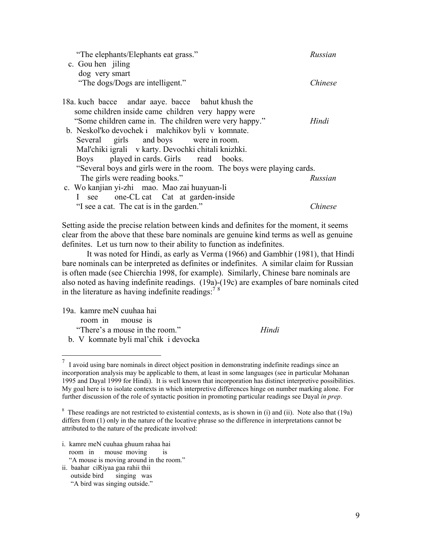| "The elephants/Elephants eat grass."                                   | Russian |
|------------------------------------------------------------------------|---------|
| c. Gou hen jiling                                                      |         |
| dog very smart                                                         |         |
| "The dogs/Dogs are intelligent."                                       | Chinese |
| 18a. kuch bacce andar aaye. bacce bahut khush the                      |         |
| some children inside came children very happy were                     |         |
| "Some children came in. The children were very happy."                 | Hindi   |
| b. Neskol'ko devochek i malchikov byli v komnate.                      |         |
| Several girls and boys were in room.                                   |         |
| Mal'chiki igrali v karty. Devochki chitali knizhki.                    |         |
| Boys played in cards. Girls read books.                                |         |
| "Several boys and girls were in the room. The boys were playing cards. |         |
| The girls were reading books."                                         | Russian |
| c. Wo kanjian yi-zhi mao. Mao zai huayuan-li                           |         |
| one-CL cat Cat at garden-inside<br>$\mathbf{I}$<br>see                 |         |
| "I see a cat. The cat is in the garden."                               | Chinese |

Setting aside the precise relation between kinds and definites for the moment, it seems clear from the above that these bare nominals are genuine kind terms as well as genuine definites. Let us turn now to their ability to function as indefinites.

It was noted for Hindi, as early as Verma (1966) and Gambhir (1981), that Hindi bare nominals can be interpreted as definites or indefinites. A similar claim for Russian is often made (see Chierchia 1998, for example). Similarly, Chinese bare nominals are also noted as having indefinite readings. (19a)-(19c) are examples of bare nominals cited in the literature as having indefinite readings:  $^{78}$  $^{78}$  $^{78}$  $^{78}$ 

| 19a. kamre meN cuuhaa hai |  |                                |       |
|---------------------------|--|--------------------------------|-------|
| room in mouse is          |  |                                |       |
|                           |  | "There's a mouse in the room." | Hindi |
|                           |  |                                |       |

<span id="page-8-0"></span>b. V komnate byli mal'chik i devocka

further discussion of the role of syntactic position in promoting particular readings see Dayal *in prep*.

i. kamre meN cuuhaa ghuum rahaa hai room in mouse moving is

"A mouse is moving around in the room."

ii. baahar ciRiyaa gaa rahii thii outside bird singing was "A bird was singing outside."

 7 I avoid using bare nominals in direct object position in demonstrating indefinite readings since an incorporation analysis may be applicable to them, at least in some languages (see in particular Mohanan 1995 and Dayal 1999 for Hindi). It is well known that incorporation has distinct interpretive possibilities. My goal here is to isolate contexts in which interpretive differences hinge on number marking alone. For

<span id="page-8-1"></span><sup>&</sup>lt;sup>8</sup> These readings are not restricted to existential contexts, as is shown in (i) and (ii). Note also that (19a) differs from (1) only in the nature of the locative phrase so the difference in interpretations cannot be attributed to the nature of the predicate involved: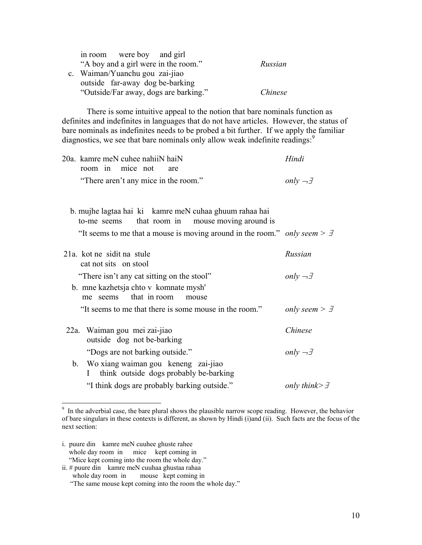| in room were boy and girl             |         |
|---------------------------------------|---------|
| "A boy and a girl were in the room."  | Russian |
| c. Waiman/Yuanchu gou zai-jiao        |         |
| outside far-away dog be-barking       |         |
| "Outside/Far away, dogs are barking." | Chinese |

There is some intuitive appeal to the notion that bare nominals function as definites and indefinites in languages that do not have articles. However, the status of bare nominals as indefinites needs to be probed a bit further. If we apply the familiar diagnostics, we see that bare nominals only allow weak indefinite readings:<sup>[9](#page-9-0)</sup>

|  |  | 20a. kamre meN cuhee nahiiN haiN |                                      | Hindi                      |
|--|--|----------------------------------|--------------------------------------|----------------------------|
|  |  | room in mice not are             |                                      |                            |
|  |  |                                  | "There aren't any mice in the room." | $only \rightarrow \exists$ |

 b. mujhe lagtaa hai ki kamre meN cuhaa ghuum rahaa hai to-me seems that room in mouse moving around is "It seems to me that a mouse is moving around in the room." *only seem >* <sup>∃</sup>

| 21a. kot ne sidit na stule<br>cat not sits on stool                              | Russian                     |
|----------------------------------------------------------------------------------|-----------------------------|
| "There isn't any cat sitting on the stool"                                       | only $\neg \exists$         |
| b. mne kazhetsja chto v komnate mysh'<br>that in room<br>me seems<br>mouse       |                             |
| "It seems to me that there is some mouse in the room."                           | only seem $> \exists$       |
| 22a. Waiman gou mei zai-jiao<br>outside dog not be-barking                       | Chinese                     |
| "Dogs are not barking outside."                                                  | only $\neg \exists$         |
| b. Wo xiang waiman gou keneng zai-jiao<br>think outside dogs probably be-barking |                             |
| "I think dogs are probably barking outside."                                     | only think $\geq$ $\exists$ |

<span id="page-9-0"></span><sup>&</sup>lt;sup>9</sup> In the adverbial case, the bare plural shows the plausible narrow scope reading. However, the behavior of bare singulars in these contexts is different, as shown by Hindi (i)and (ii). Such facts are the focus of the next section:

- i. puure din kamre meN cuuhee ghuste rahee whole day room in mice kept coming in "Mice kept coming into the room the whole day."
- ii. # puure din kamre meN cuuhaa ghustaa rahaa whole day room in mouse kept coming in

 <sup>&</sup>quot;The same mouse kept coming into the room the whole day."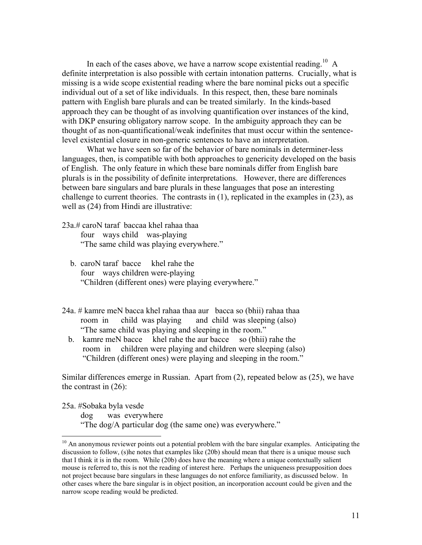In each of the cases above, we have a narrow scope existential reading.<sup>10</sup> A definite interpretation is also possible with certain intonation patterns. Crucially, what is missing is a wide scope existential reading where the bare nominal picks out a specific individual out of a set of like individuals. In this respect, then, these bare nominals pattern with English bare plurals and can be treated similarly. In the kinds-based approach they can be thought of as involving quantification over instances of the kind, with DKP ensuring obligatory narrow scope. In the ambiguity approach they can be thought of as non-quantificational/weak indefinites that must occur within the sentencelevel existential closure in non-generic sentences to have an interpretation.

What we have seen so far of the behavior of bare nominals in determiner-less languages, then, is compatible with both approaches to genericity developed on the basis of English. The only feature in which these bare nominals differ from English bare plurals is in the possibility of definite interpretations. However, there are differences between bare singulars and bare plurals in these languages that pose an interesting challenge to current theories. The contrasts in (1), replicated in the examples in (23), as well as (24) from Hindi are illustrative:

23a.# caroN taraf baccaa khel rahaa thaa four ways child was-playing "The same child was playing everywhere."

- b. caroN taraf bacce khel rahe the four ways children were-playing "Children (different ones) were playing everywhere."
- 24a. # kamre meN bacca khel rahaa thaa aur bacca so (bhii) rahaa thaa room in child was playing and child was sleeping (also) "The same child was playing and sleeping in the room."
	- b. kamre meN bacce khel rahe the aur bacce so (bhii) rahe the room in children were playing and children were sleeping (also) "Children (different ones) were playing and sleeping in the room."

Similar differences emerge in Russian. Apart from (2), repeated below as (25), we have the contrast in (26):

25a. #Sobaka byla vesde

 $\overline{a}$ 

dog was everywhere

"The dog/A particular dog (the same one) was everywhere."

<span id="page-10-0"></span> $10$  An anonymous reviewer points out a potential problem with the bare singular examples. Anticipating the discussion to follow, (s)he notes that examples like (20b) should mean that there is a unique mouse such that I think it is in the room. While (20b) does have the meaning where a unique contextually salient mouse is referred to, this is not the reading of interest here. Perhaps the uniqueness presupposition does not project because bare singulars in these languages do not enforce familiarity, as discussed below. In other cases where the bare singular is in object position, an incorporation account could be given and the narrow scope reading would be predicted.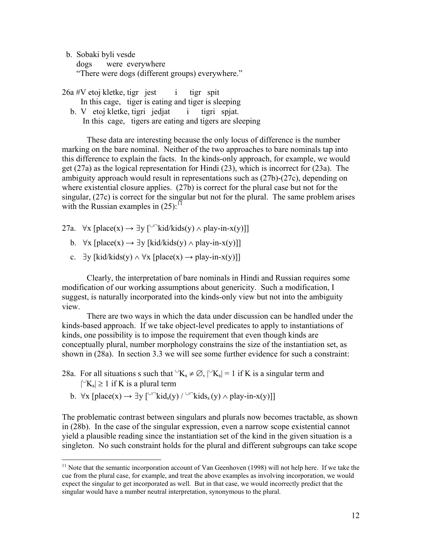b. Sobaki byli vesde

 $\overline{a}$ 

 dogs were everywhere "There were dogs (different groups) everywhere."

 $26a \#V$  etoj kletke, tigr jest i tigr spit

In this cage, tiger is eating and tiger is sleeping

b. V etoj kletke, tigri jedjat i tigri spjat.

In this cage, tigers are eating and tigers are sleeping

These data are interesting because the only locus of difference is the number marking on the bare nominal. Neither of the two approaches to bare nominals tap into this difference to explain the facts. In the kinds-only approach, for example, we would get (27a) as the logical representation for Hindi (23), which is incorrect for (23a). The ambiguity approach would result in representations such as (27b)-(27c), depending on where existential closure applies. (27b) is correct for the plural case but not for the singular, (27c) is correct for the singular but not for the plural. The same problem arises with the Russian examples in  $(25)$ :<sup>11</sup>

- 27a.  $\forall$ x [place(x) → ∃y [<sup>∪∩</sup>kid/kids(y) ∧ play-in-x(y)]]
	- b.  $\forall x$  [place(x)  $\rightarrow \exists y$  [kid/kids(y)  $\land$  play-in-x(y)]]
	- c.  $\exists y$  [kid/kids(y)  $\land \forall x$  [place(x)  $\rightarrow$  play-in-x(y)]]

Clearly, the interpretation of bare nominals in Hindi and Russian requires some modification of our working assumptions about genericity. Such a modification, I suggest, is naturally incorporated into the kinds-only view but not into the ambiguity view.

There are two ways in which the data under discussion can be handled under the kinds-based approach. If we take object-level predicates to apply to instantiations of kinds, one possibility is to impose the requirement that even though kinds are conceptually plural, number morphology constrains the size of the instantiation set, as shown in (28a). In section 3.3 we will see some further evidence for such a constraint:

28a. For all situations s such that  $\forall K_s \neq \emptyset$ ,  $|\forall K_s| = 1$  if K is a singular term and  $\vert\vert$ <sup>∪</sup>K<sub>s</sub> $\vert$  ≥ 1 if K is a plural term

b. 
$$
\forall x
$$
 [place(x)  $\rightarrow \exists y$  [<sup>U</sup>  $\cap$   $kid_s(y) / \cup \cap$   $kids_s(y) \land play-in-x(y)$ ]]

The problematic contrast between singulars and plurals now becomes tractable, as shown in (28b). In the case of the singular expression, even a narrow scope existential cannot yield a plausible reading since the instantiation set of the kind in the given situation is a singleton. No such constraint holds for the plural and different subgroups can take scope

<span id="page-11-0"></span><sup>&</sup>lt;sup>11</sup> Note that the semantic incorporation account of Van Geenhoven (1998) will not help here. If we take the cue from the plural case, for example, and treat the above examples as involving incorporation, we would expect the singular to get incorporated as well. But in that case, we would incorrectly predict that the singular would have a number neutral interpretation, synonymous to the plural.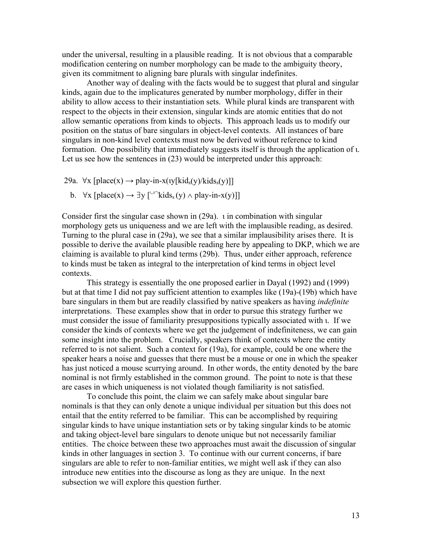under the universal, resulting in a plausible reading. It is not obvious that a comparable modification centering on number morphology can be made to the ambiguity theory, given its commitment to aligning bare plurals with singular indefinites.

Another way of dealing with the facts would be to suggest that plural and singular kinds, again due to the implicatures generated by number morphology, differ in their ability to allow access to their instantiation sets. While plural kinds are transparent with respect to the objects in their extension, singular kinds are atomic entities that do not allow semantic operations from kinds to objects. This approach leads us to modify our position on the status of bare singulars in object-level contexts. All instances of bare singulars in non-kind level contexts must now be derived without reference to kind formation. One possibility that immediately suggests itself is through the application of ι. Let us see how the sentences in (23) would be interpreted under this approach:

29a.  $\forall$ x [place(x)  $\rightarrow$  play-in-x(iy[kid<sub>s</sub>(y)/kids<sub>s</sub>(y)]]

b.  $\forall x$  [place(x)  $\rightarrow \exists y$  [<sup>∪∩</sup>kids<sub>s</sub>(y)  $\land$  play-in-x(y)]]

Consider first the singular case shown in (29a). ι in combination with singular morphology gets us uniqueness and we are left with the implausible reading, as desired. Turning to the plural case in (29a), we see that a similar implausibility arises there. It is possible to derive the available plausible reading here by appealing to DKP, which we are claiming is available to plural kind terms (29b). Thus, under either approach, reference to kinds must be taken as integral to the interpretation of kind terms in object level contexts.

This strategy is essentially the one proposed earlier in Dayal (1992) and (1999) but at that time I did not pay sufficient attention to examples like (19a)-(19b) which have bare singulars in them but are readily classified by native speakers as having *indefinite* interpretations. These examples show that in order to pursue this strategy further we must consider the issue of familiarity presuppositions typically associated with ι. If we consider the kinds of contexts where we get the judgement of indefiniteness, we can gain some insight into the problem. Crucially, speakers think of contexts where the entity referred to is not salient. Such a context for (19a), for example, could be one where the speaker hears a noise and guesses that there must be a mouse or one in which the speaker has just noticed a mouse scurrying around. In other words, the entity denoted by the bare nominal is not firmly established in the common ground. The point to note is that these are cases in which uniqueness is not violated though familiarity is not satisfied.

To conclude this point, the claim we can safely make about singular bare nominals is that they can only denote a unique individual per situation but this does not entail that the entity referred to be familiar. This can be accomplished by requiring singular kinds to have unique instantiation sets or by taking singular kinds to be atomic and taking object-level bare singulars to denote unique but not necessarily familiar entities. The choice between these two approaches must await the discussion of singular kinds in other languages in section 3. To continue with our current concerns, if bare singulars are able to refer to non-familiar entities, we might well ask if they can also introduce new entities into the discourse as long as they are unique. In the next subsection we will explore this question further.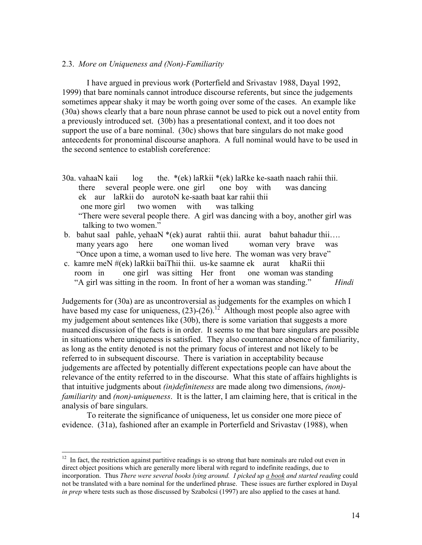### 2.3. *More on Uniqueness and (Non)-Familiarity*

I have argued in previous work (Porterfield and Srivastav 1988, Dayal 1992, 1999) that bare nominals cannot introduce discourse referents, but since the judgements sometimes appear shaky it may be worth going over some of the cases. An example like (30a) shows clearly that a bare noun phrase cannot be used to pick out a novel entity from a previously introduced set. (30b) has a presentational context, and it too does not support the use of a bare nominal. (30c) shows that bare singulars do not make good antecedents for pronominal discourse anaphora. A full nominal would have to be used in the second sentence to establish coreference:

- 30a. vahaaN kaii log the. \*(ek) laRkii \*(ek) laRke ke-saath naach rahii thii. there several people were. one girl one boy with was dancing ek aur laRkii do aurotoN ke-saath baat kar rahii thii one more girl two women with was talking "There were several people there. A girl was dancing with a boy, another girl was talking to two women."
- b. bahut saal pahle, yehaaN \*(ek) aurat rahtii thii. aurat bahut bahadur thii... many years ago here one woman lived woman very brave was "Once upon a time, a woman used to live here. The woman was very brave"
- c. kamre meN #(ek) laRkii baiThii thii. us-ke saamne ek aurat khaRii thii room in one girl was sitting Her front one woman was standing "A girl was sitting in the room. In front of her a woman was standing." *Hindi*

Judgements for (30a) are as uncontroversial as judgements for the examples on which I have based my case for uniqueness,  $(23)-(26)$ .<sup>12</sup> Although most people also agree with my judgement about sentences like (30b), there is some variation that suggests a more nuanced discussion of the facts is in order. It seems to me that bare singulars are possible in situations where uniqueness is satisfied. They also countenance absence of familiarity, as long as the entity denoted is not the primary focus of interest and not likely to be referred to in subsequent discourse. There is variation in acceptability because judgements are affected by potentially different expectations people can have about the relevance of the entity referred to in the discourse. What this state of affairs highlights is that intuitive judgments about *(in)definiteness* are made along two dimensions, *(non) familiarity* and *(non)-uniqueness*. It is the latter, I am claiming here, that is critical in the analysis of bare singulars.

To reiterate the significance of uniqueness, let us consider one more piece of evidence. (31a), fashioned after an example in Porterfield and Srivastav (1988), when

<span id="page-13-0"></span> $12$  In fact, the restriction against partitive readings is so strong that bare nominals are ruled out even in direct object positions which are generally more liberal with regard to indefinite readings, due to incorporation. Thus *There were several books lying around. I picked up a book and started reading* could not be translated with a bare nominal for the underlined phrase. These issues are further explored in Dayal *in prep* where tests such as those discussed by Szabolcsi (1997) are also applied to the cases at hand.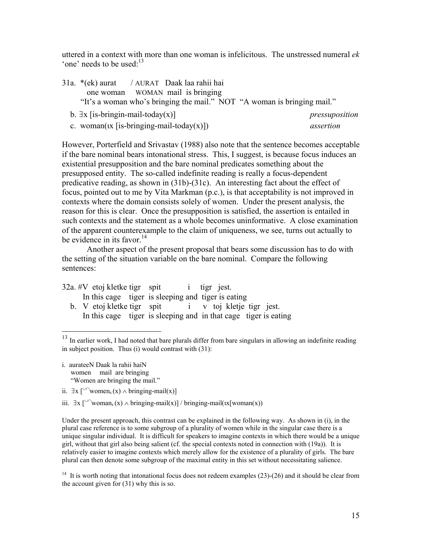uttered in a context with more than one woman is infelicitous. The unstressed numeral *ek* 'one' needs to be used: $13$ 

| 31a. *(ek) aurat / AURAT Daak laa rahii hai     |  |  |                                                                         |
|-------------------------------------------------|--|--|-------------------------------------------------------------------------|
| one woman WOMAN mail is bringing                |  |  |                                                                         |
|                                                 |  |  | "It's a woman who's bringing the mail." NOT "A woman is bringing mail." |
| b. $\exists$ x [is-bringin-mail-today(x)]       |  |  | pressuposition                                                          |
| c. woman( $(x$ [is-bringing-mail-today( $x$ )]) |  |  | assertion                                                               |

However, Porterfield and Srivastav (1988) also note that the sentence becomes acceptable if the bare nominal bears intonational stress. This, I suggest, is because focus induces an existential presupposition and the bare nominal predicates something about the presupposed entity. The so-called indefinite reading is really a focus-dependent predicative reading, as shown in (31b)-(31c). An interesting fact about the effect of focus, pointed out to me by Vita Markman (p.c.), is that acceptability is not improved in contexts where the domain consists solely of women. Under the present analysis, the reason for this is clear. Once the presupposition is satisfied, the assertion is entailed in such contexts and the statement as a whole becomes uninformative. A close examination of the apparent counterexample to the claim of uniqueness, we see, turns out actually to be evidence in its favor.<sup>14</sup>

Another aspect of the present proposal that bears some discussion has to do with the setting of the situation variable on the bare nominal. Compare the following sentences:

|  |  | $32a.$ #V etoj kletke tigr spit i tigr jest.                    |  |  |  |
|--|--|-----------------------------------------------------------------|--|--|--|
|  |  | In this cage tiger is sleeping and tiger is eating              |  |  |  |
|  |  | b. V etoj kletke tigr spit $\cdot$ i v toj kletje tigr jest.    |  |  |  |
|  |  | In this cage tiger is sleeping and in that cage tiger is eating |  |  |  |

<span id="page-14-0"></span><sup>&</sup>lt;sup>13</sup> In earlier work, I had noted that bare plurals differ from bare singulars in allowing an indefinite reading in subject position. Thus (i) would contrast with (31):

i. aurateeN Daak la rahii haiN women mail are bringing "Women are bringing the mail."

 $\overline{a}$ 

- ii.  $∃x [∵\wedge women_s(x) ∧ bringing-mail(x)]$
- iii.  $\exists x \, [\cup \cap \text{woman}_s(x) \land \text{bringing-mail}(x)] / \text{bringing-mail}(x \, [\text{woman}(x))]$

Under the present approach, this contrast can be explained in the following way. As shown in (i), in the plural case reference is to some subgroup of a plurality of women while in the singular case there is a unique singular individual. It is difficult for speakers to imagine contexts in which there would be a unique girl, without that girl also being salient (cf. the special contexts noted in connection with (19a)). It is relatively easier to imagine contexts which merely allow for the existence of a plurality of girls. The bare plural can then denote some subgroup of the maximal entity in this set without necessitating salience.

<span id="page-14-1"></span><sup>14</sup> It is worth noting that intonational focus does not redeem examples (23)-(26) and it should be clear from the account given for (31) why this is so.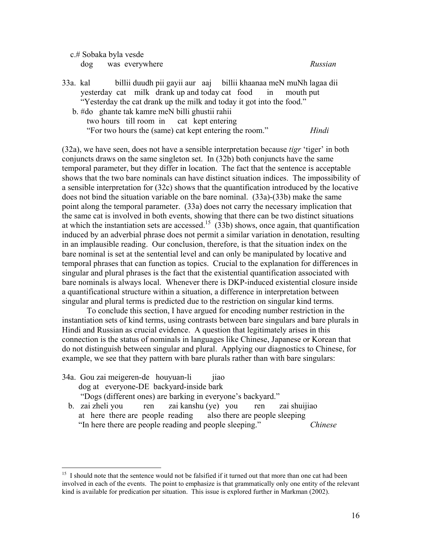c.# Sobaka byla vesde dog was everywhere *Russian* 

- 33a. kal billii duudh pii gayii aur aaj billii khaanaa meN muNh lagaa dii yesterday cat milk drank up and today cat food in mouth put "Yesterday the cat drank up the milk and today it got into the food." b. #do ghante tak kamre meN billi ghustii rahii
	- two hours till room in cat kept entering "For two hours the (same) cat kept entering the room." *Hindi*

(32a), we have seen, does not have a sensible interpretation because *tigr* 'tiger' in both conjuncts draws on the same singleton set. In (32b) both conjuncts have the same temporal parameter, but they differ in location. The fact that the sentence is acceptable shows that the two bare nominals can have distinct situation indices. The impossibility of a sensible interpretation for (32c) shows that the quantification introduced by the locative does not bind the situation variable on the bare nominal. (33a)-(33b) make the same point along the temporal parameter. (33a) does not carry the necessary implication that the same cat is involved in both events, showing that there can be two distinct situations at which the instantiation sets are accessed.<sup>15</sup> (33b) shows, once again, that quantification induced by an adverbial phrase does not permit a similar variation in denotation, resulting in an implausible reading. Our conclusion, therefore, is that the situation index on the bare nominal is set at the sentential level and can only be manipulated by locative and temporal phrases that can function as topics. Crucial to the explanation for differences in singular and plural phrases is the fact that the existential quantification associated with bare nominals is always local. Whenever there is DKP-induced existential closure inside a quantificational structure within a situation, a difference in interpretation between singular and plural terms is predicted due to the restriction on singular kind terms.

To conclude this section, I have argued for encoding number restriction in the instantiation sets of kind terms, using contrasts between bare singulars and bare plurals in Hindi and Russian as crucial evidence. A question that legitimately arises in this connection is the status of nominals in languages like Chinese, Japanese or Korean that do not distinguish between singular and plural. Applying our diagnostics to Chinese, for example, we see that they pattern with bare plurals rather than with bare singulars:

34a. Gou zai meigeren-de houyuan-li jiao dog at everyone-DE backyard-inside bark "Dogs (different ones) are barking in everyone's backyard." b. zai zheli you ren zai kanshu (ye) you ren zai shuijiao

 $\overline{a}$ 

 at here there are people reading also there are people sleeping "In here there are people reading and people sleeping." *Chinese* 

<span id="page-15-0"></span><sup>&</sup>lt;sup>15</sup> I should note that the sentence would not be falsified if it turned out that more than one cat had been involved in each of the events. The point to emphasize is that grammatically only one entity of the relevant kind is available for predication per situation. This issue is explored further in Markman (2002).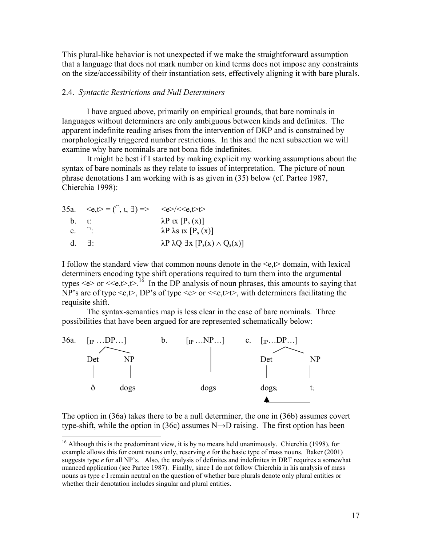This plural-like behavior is not unexpected if we make the straightforward assumption that a language that does not mark number on kind terms does not impose any constraints on the size/accessibility of their instantiation sets, effectively aligning it with bare plurals.

### 2.4. *Syntactic Restrictions and Null Determiners*

I have argued above, primarily on empirical grounds, that bare nominals in languages without determiners are only ambiguous between kinds and definites. The apparent indefinite reading arises from the intervention of DKP and is constrained by morphologically triggered number restrictions. In this and the next subsection we will examine why bare nominals are not bona fide indefinites.

It might be best if I started by making explicit my working assumptions about the syntax of bare nominals as they relate to issues of interpretation. The picture of noun phrase denotations I am working with is as given in (35) below (cf. Partee 1987, Chierchia 1998):

| 35a. $\langle e, t \rangle = (\bigcap, 1, 1) \Rightarrow \langle e \rangle / \langle e, t \rangle$ |                                                        |
|----------------------------------------------------------------------------------------------------|--------------------------------------------------------|
| $b.$ $\mathfrak{t}$ :                                                                              | $\lambda P$ ix $[P_s(x)]$                              |
| $c.$ $\bigcap$                                                                                     | $\lambda P \lambda s$ ix $[P_s(x)]$                    |
| $d +$                                                                                              | $\lambda P \lambda Q \exists x [P_s(x) \wedge Q_s(x)]$ |

 $\overline{a}$ 

I follow the standard view that common nouns denote in the <e,t> domain, with lexical determiners encoding type shift operations required to turn them into the argumental types  $\leq e$  or  $\leq \leq t$ , t if the DP analysis of noun phrases, this amounts to saying that NP's are of type  $\langle e, t \rangle$ , DP's of type  $\langle e \rangle$  or  $\langle \langle e, t \rangle$ , with determiners facilitating the requisite shift.

The syntax-semantics map is less clear in the case of bare nominals. Three possibilities that have been argued for are represented schematically below:



The option in (36a) takes there to be a null determiner, the one in (36b) assumes covert type-shift, while the option in (36c) assumes  $N\rightarrow D$  raising. The first option has been

<span id="page-16-0"></span> $16$  Although this is the predominant view, it is by no means held unanimously. Chierchia (1998), for example allows this for count nouns only, reserving *e* for the basic type of mass nouns. Baker (2001) suggests type *e* for all NP's. Also, the analysis of definites and indefinites in DRT requires a somewhat nuanced application (see Partee 1987). Finally, since I do not follow Chierchia in his analysis of mass nouns as type *e* I remain neutral on the question of whether bare plurals denote only plural entities or whether their denotation includes singular and plural entities.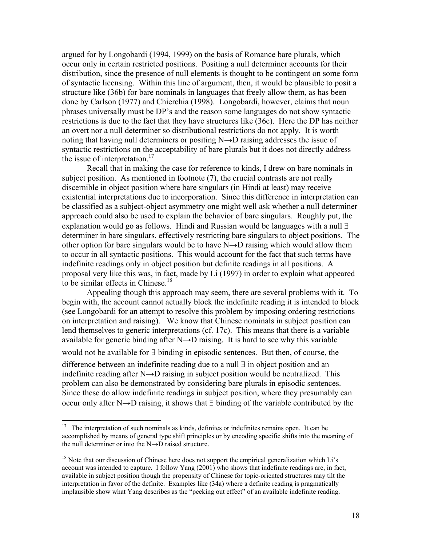argued for by Longobardi (1994, 1999) on the basis of Romance bare plurals, which occur only in certain restricted positions. Positing a null determiner accounts for their distribution, since the presence of null elements is thought to be contingent on some form of syntactic licensing. Within this line of argument, then, it would be plausible to posit a structure like (36b) for bare nominals in languages that freely allow them, as has been done by Carlson (1977) and Chierchia (1998). Longobardi, however, claims that noun phrases universally must be DP's and the reason some languages do not show syntactic restrictions is due to the fact that they have structures like (36c). Here the DP has neither an overt nor a null determiner so distributional restrictions do not apply. It is worth noting that having null determiners or positing N→D raising addresses the issue of syntactic restrictions on the acceptability of bare plurals but it does not directly address the issue of interpretation.<sup>[17](#page-17-0)</sup>

Recall that in making the case for reference to kinds, I drew on bare nominals in subject position. As mentioned in footnote (7), the crucial contrasts are not really discernible in object position where bare singulars (in Hindi at least) may receive existential interpretations due to incorporation. Since this difference in interpretation can be classified as a subject-object asymmetry one might well ask whether a null determiner approach could also be used to explain the behavior of bare singulars. Roughly put, the explanation would go as follows. Hindi and Russian would be languages with a null ∃ determiner in bare singulars, effectively restricting bare singulars to object positions. The other option for bare singulars would be to have  $N\rightarrow D$  raising which would allow them to occur in all syntactic positions. This would account for the fact that such terms have indefinite readings only in object position but definite readings in all positions. A proposal very like this was, in fact, made by Li (1997) in order to explain what appeared to be similar effects in Chinese.<sup>18</sup>

Appealing though this approach may seem, there are several problems with it. To begin with, the account cannot actually block the indefinite reading it is intended to block (see Longobardi for an attempt to resolve this problem by imposing ordering restrictions on interpretation and raising). We know that Chinese nominals in subject position can lend themselves to generic interpretations (cf. 17c). This means that there is a variable available for generic binding after N→D raising. It is hard to see why this variable would not be available for ∃ binding in episodic sentences. But then, of course, the difference between an indefinite reading due to a null ∃ in object position and an indefinite reading after N→D raising in subject position would be neutralized. This problem can also be demonstrated by considering bare plurals in episodic sentences. Since these do allow indefinite readings in subject position, where they presumably can occur only after N→D raising, it shows that ∃ binding of the variable contributed by the

<span id="page-17-0"></span> $17$  The interpretation of such nominals as kinds, definites or indefinites remains open. It can be accomplished by means of general type shift principles or by encoding specific shifts into the meaning of the null determiner or into the N→D raised structure.

<span id="page-17-1"></span><sup>&</sup>lt;sup>18</sup> Note that our discussion of Chinese here does not support the empirical generalization which Li's account was intended to capture. I follow Yang (2001) who shows that indefinite readings are, in fact, available in subject position though the propensity of Chinese for topic-oriented structures may tilt the interpretation in favor of the definite. Examples like (34a) where a definite reading is pragmatically implausible show what Yang describes as the "peeking out effect" of an available indefinite reading.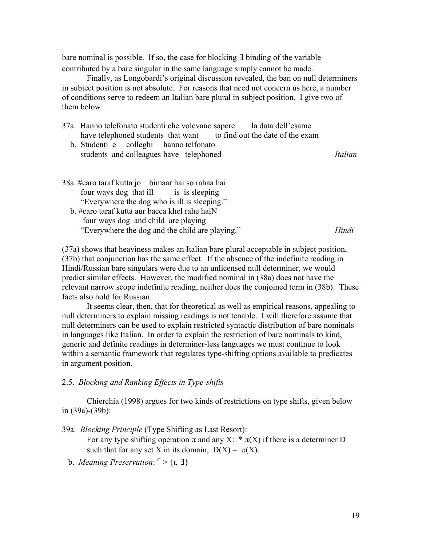bare nominal is possible. If so, the case for blocking ∃ binding of the variable contributed by a bare singular in the same language simply cannot be made.

Finally, as Longobardi's original discussion revealed, the ban on null determiners in subject position is not absolute. For reasons that need not concern us here, a number of conditions serve to redeem an Italian bare plural in subject position. I give two of them below:

- 37a. Hanno telefonato studenti che volevano sapere la data dell'esame have telephoned students that want to find out the date of the exam
	- b. Studenti e colleghi hanno telfonato students and colleagues have telephoned *Italian*
- 38a. #caro taraf kutta jo bimaar hai so rahaa hai four ways dog that ill is is sleeping "Everywhere the dog who is ill is sleeping." b. #caro taraf kutta aur bacca khel rahe haiN four ways dog and child are playing "Everywhere the dog and the child are playing." *Hindi*

(37a) shows that heaviness makes an Italian bare plural acceptable in subject position, (37b) that conjunction has the same effect. If the absence of the indefinite reading in Hindi/Russian bare singulars were due to an unlicensed null determiner, we would predict similar effects. However, the modified nominal in (38a) does not have the relevant narrow scope indefinite reading, neither does the conjoined term in (38b). These facts also hold for Russian.

It seems clear, then, that for theoretical as well as empirical reasons, appealing to null determiners to explain missing readings is not tenable. I will therefore assume that null determiners can be used to explain restricted syntactic distribution of bare nominals in languages like Italian. In order to explain the restriction of bare nominals to kind, generic and definite readings in determiner-less languages we must continue to look within a semantic framework that regulates type-shifting options available to predicates in argument position.

### 2.5. *Blocking and Ranking Effects in Type-shifts*

Chierchia (1998) argues for two kinds of restrictions on type shifts, given below in (39a)-(39b):

39a. *Blocking Principle* (Type Shifting as Last Resort): For any type shifting operation  $\pi$  and any X:  $*\pi(X)$  if there is a determiner D such that for any set X in its domain,  $D(X) = \pi(X)$ .

b. *Meaning Preservation*:  $\cap$  > {*i*,  $\exists$ }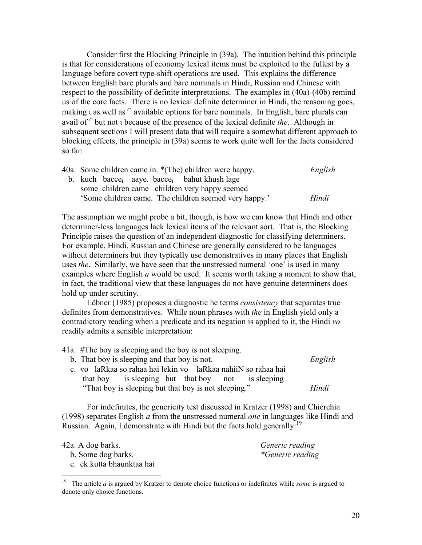Consider first the Blocking Principle in (39a). The intuition behind this principle is that for considerations of economy lexical items must be exploited to the fullest by a language before covert type-shift operations are used. This explains the difference between English bare plurals and bare nominals in Hindi, Russian and Chinese with respect to the possibility of definite interpretations. The examples in (40a)-(40b) remind us of the core facts. There is no lexical definite determiner in Hindi, the reasoning goes, making a as well as  $\alpha$  available options for bare nominals. In English, bare plurals can avail of <sup>∩</sup> but not ι because of the presence of the lexical definite *the*. Although in subsequent sections I will present data that will require a somewhat different approach to blocking effects, the principle in (39a) seems to work quite well for the facts considered so far:

| 40a. Some children came in. *(The) children were happy.             | English |
|---------------------------------------------------------------------|---------|
| b. kuch bacce <sub>i</sub> aaye bacce <sub>i</sub> bahut khush lage |         |
| some children came children very happy seemed                       |         |
| 'Some children came. The children seemed very happy.'               | Hindi   |

The assumption we might probe a bit, though, is how we can know that Hindi and other determiner-less languages lack lexical items of the relevant sort. That is, the Blocking Principle raises the question of an independent diagnostic for classifying determiners. For example, Hindi, Russian and Chinese are generally considered to be languages without determiners but they typically use demonstratives in many places that English uses *the*. Similarly, we have seen that the unstressed numeral 'one' is used in many examples where English *a* would be used. It seems worth taking a moment to show that, in fact, the traditional view that these languages do not have genuine determiners does hold up under scrutiny.

Löbner (1985) proposes a diagnostic he terms *consistency* that separates true definites from demonstratives. While noun phrases with *the* in English yield only a contradictory reading when a predicate and its negation is applied to it, the Hindi *vo*  readily admits a sensible interpretation:

| 41a. #The boy is sleeping and the boy is not sleeping.        |         |
|---------------------------------------------------------------|---------|
| b. That boy is sleeping and that boy is not.                  | English |
| c. vo laRkaa so rahaa hai lekin vo laRkaa nahiiN so rahaa hai |         |
| that boy is sleeping but that boy not is sleeping             |         |
| "That boy is sleeping but that boy is not sleeping."          | Hindi   |

For indefinites, the genericity test discussed in Kratzer (1998) and Chierchia (1998) separates English *a* from the unstressed numeral *one* in languages like Hindi and Russian. Again, I demonstrate with Hindi but the facts hold generally:<sup>19</sup>

42a. A dog barks. *Generic reading*

b. Some dog barks. *\*Generic reading*

c. ek kutta bhaunktaa hai

<span id="page-19-0"></span><sup>19</sup> 19 The article *a* is argued by Kratzer to denote choice functions or indefinites while *some* is argued to denote only choice functions.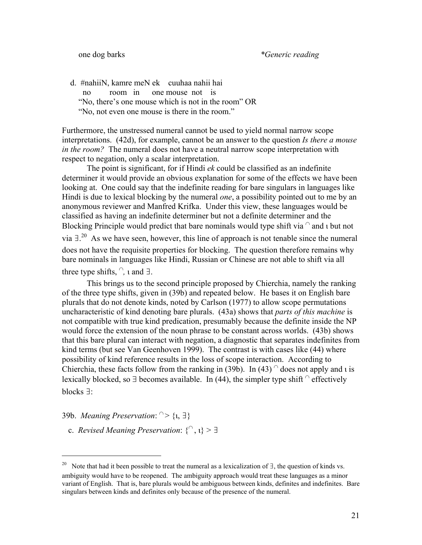d. #nahiiN, kamre meN ek cuuhaa nahii hai no room in one mouse not is "No, there's one mouse which is not in the room" OR "No, not even one mouse is there in the room."

Furthermore, the unstressed numeral cannot be used to yield normal narrow scope interpretations. (42d), for example, cannot be an answer to the question *Is there a mouse in the room?* The numeral does not have a neutral narrow scope interpretation with respect to negation, only a scalar interpretation.

The point is significant, for if Hindi *ek* could be classified as an indefinite determiner it would provide an obvious explanation for some of the effects we have been looking at. One could say that the indefinite reading for bare singulars in languages like Hindi is due to lexical blocking by the numeral *one*, a possibility pointed out to me by an anonymous reviewer and Manfred Krifka. Under this view, these languages would be classified as having an indefinite determiner but not a definite determiner and the Blocking Principle would predict that bare nominals would type shift via  $\cap$  and  $\iota$  but not via  $\exists$ .<sup>20</sup> As we have seen, however, this line of approach is not tenable since the numeral does not have the requisite properties for blocking. The question therefore remains why bare nominals in languages like Hindi, Russian or Chinese are not able to shift via all three type shifts, <sup>∩</sup>*,* ι and ∃.

This brings us to the second principle proposed by Chierchia, namely the ranking of the three type shifts, given in (39b) and repeated below. He bases it on English bare plurals that do not denote kinds, noted by Carlson (1977) to allow scope permutations uncharacteristic of kind denoting bare plurals. (43a) shows that *parts of this machine* is not compatible with true kind predication, presumably because the definite inside the NP would force the extension of the noun phrase to be constant across worlds. (43b) shows that this bare plural can interact with negation, a diagnostic that separates indefinites from kind terms (but see Van Geenhoven 1999). The contrast is with cases like (44) where possibility of kind reference results in the loss of scope interaction. According to Chierchia, these facts follow from the ranking in (39b). In (43)  $\degree$  does not apply and *i* is lexically blocked, so ∃ becomes available. In (44), the simpler type shift  $\textcirc$  effectively blocks ∃:

39b. *Meaning Preservation*:  $\cap$  > {*i*,  $\exists$ }

 $\overline{a}$ 

*c. Revised Meaning Preservation*:  $\{ \cap, \iota \} > \exists$ 

<span id="page-20-0"></span><sup>&</sup>lt;sup>20</sup> Note that had it been possible to treat the numeral as a lexicalization of  $\exists$ , the question of kinds vs. ambiguity would have to be reopened. The ambiguity approach would treat these languages as a minor variant of English. That is, bare plurals would be ambiguous between kinds, definites and indefinites. Bare singulars between kinds and definites only because of the presence of the numeral.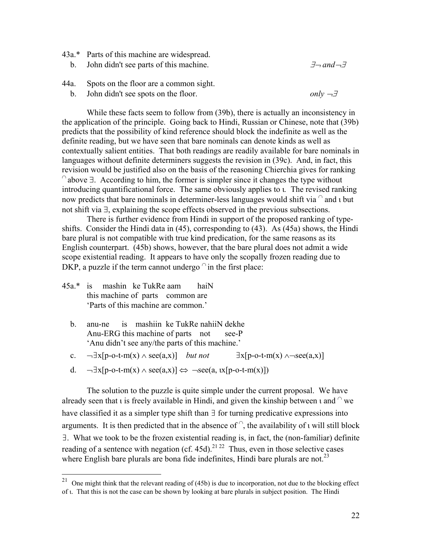- <span id="page-21-0"></span>43a.\* Parts of this machine are widespread. b. John didn't see parts of this machine. ∃¬ *and*¬∃
- 44a. Spots on the floor are a common sight.
	- b. John didn't see spots on the floor. *only*  $\neg \exists$

While these facts seem to follow from (39b), there is actually an inconsistency in the application of the principle. Going back to Hindi, Russian or Chinese, note that (39b) predicts that the possibility of kind reference should block the indefinite as well as the definite reading, but we have seen that bare nominals can denote kinds as well as contextually salient entities. That both readings are readily available for bare nominals in languages without definite determiners suggests the revision in (39c). And, in fact, this revision would be justified also on the basis of the reasoning Chierchia gives for ranking  $\alpha$  above  $\exists$ . According to him, the former is simpler since it changes the type without introducing quantificational force. The same obviously applies to ι*.* The revised ranking now predicts that bare nominals in determiner-less languages would shift via  $\hat{ }$  and  $\bf{u}$  but not shift via ∃, explaining the scope effects observed in the previous subsections.

There is further evidence from Hindi in support of the proposed ranking of typeshifts. Consider the Hindi data in (45), corresponding to (43). As (45a) shows, the Hindi bare plural is not compatible with true kind predication, for the same reasons as its English counterpart. (45b) shows, however, that the bare plural does not admit a wide scope existential reading. It appears to have only the scopally frozen reading due to DKP, a puzzle if the term cannot undergo  $\hat{ }$  in the first place:

45a.\* is mashin ke TukRe aam haiN this machine of parts common are 'Parts of this machine are common.'

<span id="page-21-2"></span> $\overline{a}$ 

- b. anu-ne is mashiin ke TukRe nahiiN dekhe Anu-ERG this machine of parts not see-P 'Anu didn't see any/the parts of this machine.'
- c.  $\neg \exists x[p-o-t-m(x) \land \text{see}(a,x)]$  *but not*  $\exists x[p-o-t-m(x) \land \neg \text{see}(a,x)]$
- d.  $\neg \exists x[p-o-t-m(x) \land \text{see}(a,x)] \Leftrightarrow \neg \text{see}(a, \text{tx}[p-o-t-m(x)])$

<span id="page-21-1"></span>The solution to the puzzle is quite simple under the current proposal. We have already seen that *i* is freely available in Hindi, and given the kinship between *i* and  $\alpha$  we have classified it as a simpler type shift than ∃ for turning predicative expressions into arguments. It is then predicted that in the absence of  $\hat{ }$ , the availability of  $\hat{ }$  will still block ∃. What we took to be the frozen existential reading is, in fact, the (non-familiar) definite reading of a sentence with negation (cf. 45d).<sup>[21](#page-21-0) 22</sup> Thus, even in those selective cases where English bare plurals are bona fide indefinites, Hindi bare plurals are not.<sup>23</sup>

<sup>&</sup>lt;sup>21</sup> One might think that the relevant reading of (45b) is due to incorporation, not due to the blocking effect of ι. That this is not the case can be shown by looking at bare plurals in subject position. The Hindi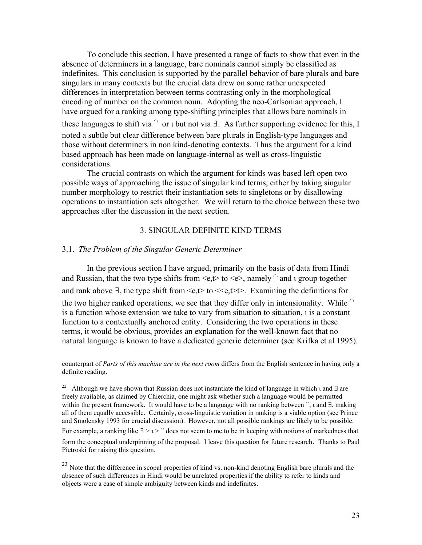To conclude this section, I have presented a range of facts to show that even in the absence of determiners in a language, bare nominals cannot simply be classified as indefinites. This conclusion is supported by the parallel behavior of bare plurals and bare singulars in many contexts but the crucial data drew on some rather unexpected differences in interpretation between terms contrasting only in the morphological encoding of number on the common noun. Adopting the neo-Carlsonian approach, I have argued for a ranking among type-shifting principles that allows bare nominals in these languages to shift via  $\cap$  or  $\iota$  but not via  $\exists$ . As further supporting evidence for this, I noted a subtle but clear difference between bare plurals in English-type languages and those without determiners in non kind-denoting contexts. Thus the argument for a kind based approach has been made on language-internal as well as cross-linguistic considerations.

The crucial contrasts on which the argument for kinds was based left open two possible ways of approaching the issue of singular kind terms, either by taking singular number morphology to restrict their instantiation sets to singletons or by disallowing operations to instantiation sets altogether. We will return to the choice between these two approaches after the discussion in the next section.

## 3. SINGULAR DEFINITE KIND TERMS

### 3.1. *The Problem of the Singular Generic Determiner*

In the previous section I have argued, primarily on the basis of data from Hindi and Russian, that the two type shifts from  $\leq e$ , to  $\leq e$ , namely  $\cap$  and  $\iota$  group together and rank above  $\exists$ , the type shift from <e,t> to <<e,t>t>. Examining the definitions for the two higher ranked operations, we see that they differ only in intensionality. While  $\cap$ is a function whose extension we take to vary from situation to situation, ι is a constant function to a contextually anchored entity. Considering the two operations in these terms, it would be obvious, provides an explanation for the well-known fact that no natural language is known to have a dedicated generic determiner (see Krifka et al 1995).

 counterpart of *Parts of this machine are in the next room* differs from the English sentence in having only a definite reading.

<sup>22</sup> Although we have shown that Russian does not instantiate the kind of language in which  $\iota$  and  $\exists$  are freely available, as claimed by Chierchia, one might ask whether such a language would be permitted within the present framework. It would have to be a language with no ranking between  $\hat{C}$ , and  $\exists$ , making all of them equally accessible. Certainly, cross-linguistic variation in ranking is a viable option (see Prince and Smolensky 1993 for crucial discussion). However, not all possible rankings are likely to be possible. For example, a ranking like  $\exists$  >  $\iota$  >  $\cap$  does not seem to me to be in keeping with notions of markedness that form the conceptual underpinning of the proposal. I leave this question for future research. Thanks to Paul Pietroski for raising this question.

<sup>&</sup>lt;sup>23</sup> Note that the difference in scopal properties of kind vs. non-kind denoting English bare plurals and the absence of such differences in Hindi would be unrelated properties if the ability to refer to kinds and objects were a case of simple ambiguity between kinds and indefinites.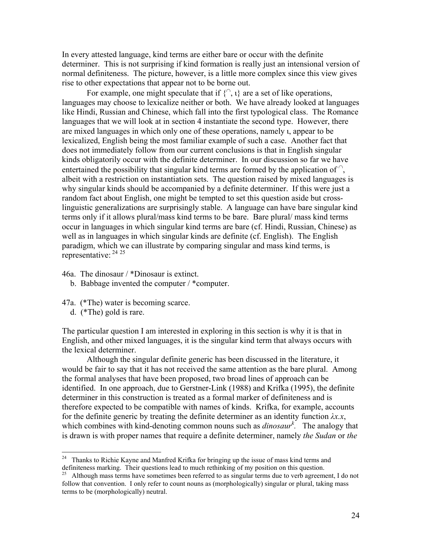In every attested language, kind terms are either bare or occur with the definite determiner. This is not surprising if kind formation is really just an intensional version of normal definiteness. The picture, however, is a little more complex since this view gives rise to other expectations that appear not to be borne out.

For example, one might speculate that if  $\{\bigcap_{n=1}^{\infty}$  are a set of like operations, languages may choose to lexicalize neither or both. We have already looked at languages like Hindi, Russian and Chinese, which fall into the first typological class. The Romance languages that we will look at in section 4 instantiate the second type. However, there are mixed languages in which only one of these operations, namely ι, appear to be lexicalized, English being the most familiar example of such a case. Another fact that does not immediately follow from our current conclusions is that in English singular kinds obligatorily occur with the definite determiner. In our discussion so far we have entertained the possibility that singular kind terms are formed by the application of  $\hat{C}$ , albeit with a restriction on instantiation sets. The question raised by mixed languages is why singular kinds should be accompanied by a definite determiner. If this were just a random fact about English, one might be tempted to set this question aside but crosslinguistic generalizations are surprisingly stable. A language can have bare singular kind terms only if it allows plural/mass kind terms to be bare. Bare plural/ mass kind terms occur in languages in which singular kind terms are bare (cf. Hindi, Russian, Chinese) as well as in languages in which singular kinds are definite (cf. English). The English paradigm, which we can illustrate by comparing singular and mass kind terms, is representative: [24](#page-23-0) [25](#page-23-1)

- 46a. The dinosaur / \*Dinosaur is extinct.
	- b. Babbage invented the computer / \*computer.
- 47a. (\*The) water is becoming scarce.
	- d. (\*The) gold is rare.

 $\overline{a}$ 

The particular question I am interested in exploring in this section is why it is that in English, and other mixed languages, it is the singular kind term that always occurs with the lexical determiner.

Although the singular definite generic has been discussed in the literature, it would be fair to say that it has not received the same attention as the bare plural. Among the formal analyses that have been proposed, two broad lines of approach can be identified. In one approach, due to Gerstner-Link (1988) and Krifka (1995), the definite determiner in this construction is treated as a formal marker of definiteness and is therefore expected to be compatible with names of kinds. Krifka, for example, accounts for the definite generic by treating the definite determiner as an identity function *λx.x*, which combines with kind-denoting common nouns such as  $\dim \circ \circ aur^k$ . The analogy that is drawn is with proper names that require a definite determiner, namely *the Sudan* or *the* 

<span id="page-23-0"></span> $24$  Thanks to Richie Kayne and Manfred Krifka for bringing up the issue of mass kind terms and definiteness marking. Their questions lead to much rethinking of my position on this question.<br><sup>25</sup> Although mass terms have sometimes been referred to as singular terms due to verb agreement, I do not

<span id="page-23-1"></span>follow that convention. I only refer to count nouns as (morphologically) singular or plural, taking mass terms to be (morphologically) neutral.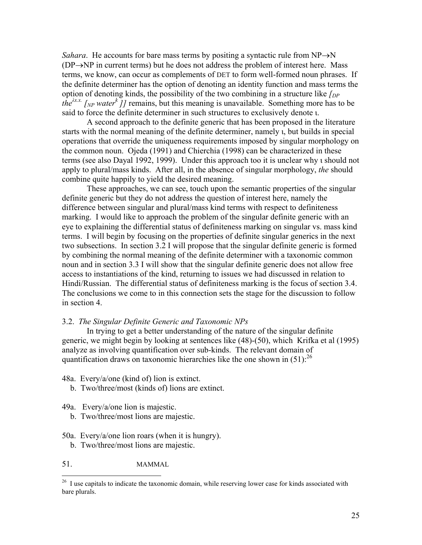*Sahara*. He accounts for bare mass terms by positing a syntactic rule from NP→N (DP→NP in current terms) but he does not address the problem of interest here. Mass terms, we know, can occur as complements of DET to form well-formed noun phrases. If the definite determiner has the option of denoting an identity function and mass terms the option of denoting kinds, the possibility of the two combining in a structure like *[DP the*<sup> $\lambda x.x$ </sup> [NP water<sup>k</sup>]] remains, but this meaning is unavailable. Something more has to be said to force the definite determiner in such structures to exclusively denote ι.

A second approach to the definite generic that has been proposed in the literature starts with the normal meaning of the definite determiner, namely ι, but builds in special operations that override the uniqueness requirements imposed by singular morphology on the common noun. Ojeda (1991) and Chierchia (1998) can be characterized in these terms (see also Dayal 1992, 1999). Under this approach too it is unclear why ι should not apply to plural/mass kinds. After all, in the absence of singular morphology, *the* should combine quite happily to yield the desired meaning.

These approaches, we can see, touch upon the semantic properties of the singular definite generic but they do not address the question of interest here, namely the difference between singular and plural/mass kind terms with respect to definiteness marking. I would like to approach the problem of the singular definite generic with an eye to explaining the differential status of definiteness marking on singular vs. mass kind terms. I will begin by focusing on the properties of definite singular generics in the next two subsections. In section 3.2 I will propose that the singular definite generic is formed by combining the normal meaning of the definite determiner with a taxonomic common noun and in section 3.3 I will show that the singular definite generic does not allow free access to instantiations of the kind, returning to issues we had discussed in relation to Hindi/Russian. The differential status of definiteness marking is the focus of section 3.4. The conclusions we come to in this connection sets the stage for the discussion to follow in section 4.

# 3.2. *The Singular Definite Generic and Taxonomic NPs*

In trying to get a better understanding of the nature of the singular definite generic, we might begin by looking at sentences like (48)-(50), which Krifka et al (1995) analyze as involving quantification over sub-kinds. The relevant domain of quantification draws on taxonomic hierarchies like the one shown in  $(51)$ :<sup>26</sup>

- 48a. Every/a/one (kind of) lion is extinct.
	- b. Two/three/most (kinds of) lions are extinct.
- 49a. Every/a/one lion is majestic.
	- b. Two/three/most lions are majestic.
- 50a. Every/a/one lion roars (when it is hungry). b. Two/three/most lions are majestic.
- 51. MAMMAL

<span id="page-24-0"></span><sup>&</sup>lt;sup>26</sup> I use capitals to indicate the taxonomic domain, while reserving lower case for kinds associated with bare plurals.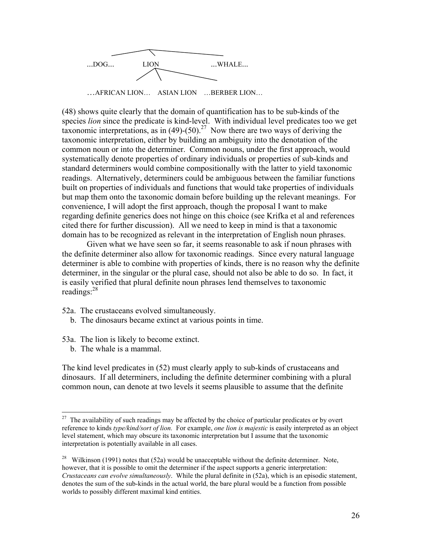

(48) shows quite clearly that the domain of quantification has to be sub-kinds of the species *lion* since the predicate is kind-level. With individual level predicates too we get taxonomic interpretations, as in  $(49)-(50)^{27}$  Now there are two ways of deriving the taxonomic interpretation, either by building an ambiguity into the denotation of the common noun or into the determiner. Common nouns, under the first approach, would systematically denote properties of ordinary individuals or properties of sub-kinds and standard determiners would combine compositionally with the latter to yield taxonomic readings. Alternatively, determiners could be ambiguous between the familiar functions built on properties of individuals and functions that would take properties of individuals but map them onto the taxonomic domain before building up the relevant meanings. For convenience, I will adopt the first approach, though the proposal I want to make regarding definite generics does not hinge on this choice (see Krifka et al and references cited there for further discussion). All we need to keep in mind is that a taxonomic domain has to be recognized as relevant in the interpretation of English noun phrases.

Given what we have seen so far, it seems reasonable to ask if noun phrases with the definite determiner also allow for taxonomic readings. Since every natural language determiner is able to combine with properties of kinds, there is no reason why the definite determiner, in the singular or the plural case, should not also be able to do so. In fact, it is easily verified that plural definite noun phrases lend themselves to taxonomic readings: $28$ 

- 52a. The crustaceans evolved simultaneously.
	- b. The dinosaurs became extinct at various points in time.
- 53a. The lion is likely to become extinct.
	- b. The whale is a mammal.

 $\overline{a}$ 

The kind level predicates in (52) must clearly apply to sub-kinds of crustaceans and dinosaurs. If all determiners, including the definite determiner combining with a plural common noun, can denote at two levels it seems plausible to assume that the definite

<span id="page-25-0"></span> $27$  The availability of such readings may be affected by the choice of particular predicates or by overt reference to kinds *type/kind/sort of lion.* For example, *one lion is majestic* is easily interpreted as an object level statement, which may obscure its taxonomic interpretation but I assume that the taxonomic interpretation is potentially available in all cases.

<span id="page-25-1"></span><sup>&</sup>lt;sup>28</sup> Wilkinson (1991) notes that (52a) would be unacceptable without the definite determiner. Note, however, that it is possible to omit the determiner if the aspect supports a generic interpretation: *Crustaceans can evolve simultaneously*. While the plural definite in (52a), which is an episodic statement, denotes the sum of the sub-kinds in the actual world, the bare plural would be a function from possible worlds to possibly different maximal kind entities.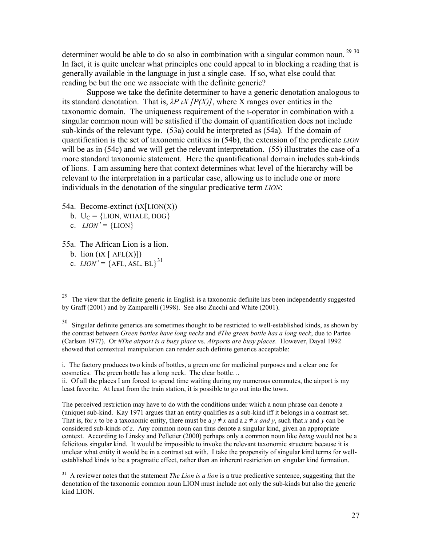determiner would be able to do so also in combination with a singular common noun.<sup>29</sup> [30](#page-26-1) In fact, it is quite unclear what principles one could appeal to in blocking a reading that is generally available in the language in just a single case. If so, what else could that reading be but the one we associate with the definite generic?

Suppose we take the definite determiner to have a generic denotation analogous to its standard denotation. That is, *λP ιX [P(X)]*, where X ranges over entities in the taxonomic domain. The uniqueness requirement of the ι-operator in combination with a singular common noun will be satisfied if the domain of quantification does not include sub-kinds of the relevant type. (53a) could be interpreted as (54a). If the domain of quantification is the set of taxonomic entities in (54b), the extension of the predicate *LION* will be as in (54c) and we will get the relevant interpretation. (55) illustrates the case of a more standard taxonomic statement. Here the quantificational domain includes sub-kinds of lions. I am assuming here that context determines what level of the hierarchy will be relevant to the interpretation in a particular case, allowing us to include one or more individuals in the denotation of the singular predicative term *LION*:

- 54a. Become-extinct (ιX[LION(X))
	- b.  $U_C = \{LION, WHALE, DOG\}$
	- c.  $LION' = \{LION\}$
- 55a. The African Lion is a lion.
	- b. lion  $(\iota X \mid \text{AFL}(X))$
	- c.  $LION' = \{AFL, ASL, BL\}^{31}$  $LION' = \{AFL, ASL, BL\}^{31}$  $LION' = \{AFL, ASL, BL\}^{31}$

i. The factory produces two kinds of bottles, a green one for medicinal purposes and a clear one for cosmetics. The green bottle has a long neck. The clear bottle…

ii. Of all the places I am forced to spend time waiting during my numerous commutes, the airport is my least favorite. At least from the train station, it is possible to go out into the town.

The perceived restriction may have to do with the conditions under which a noun phrase can denote a (unique) sub-kind. Kay 1971 argues that an entity qualifies as a sub-kind iff it belongs in a contrast set. That is, for *x* to be a taxonomic entity, there must be a  $y \neq x$  and a  $z \neq x$  *and y*, such that *x* and *y* can be considered sub-kinds of *z*. Any common noun can thus denote a singular kind, given an appropriate context. According to Linsky and Pelletier (2000) perhaps only a common noun like *being* would not be a felicitous singular kind. It would be impossible to invoke the relevant taxonomic structure because it is unclear what entity it would be in a contrast set with. I take the propensity of singular kind terms for wellestablished kinds to be a pragmatic effect, rather than an inherent restriction on singular kind formation.

<span id="page-26-0"></span><sup>29</sup> The view that the definite generic in English is a taxonomic definite has been independently suggested by Graff (2001) and by Zamparelli (1998). See also Zucchi and White (2001).

<span id="page-26-1"></span><sup>&</sup>lt;sup>30</sup> Singular definite generics are sometimes thought to be restricted to well-established kinds, as shown by the contrast between *Green bottles have long necks* and *#The green bottle has a long neck*, due to Partee (Carlson 1977). Or *#The airport is a busy place* vs. *Airports are busy places*. However, Dayal 1992 showed that contextual manipulation can render such definite generics acceptable:

<span id="page-26-2"></span><sup>&</sup>lt;sup>31</sup> A reviewer notes that the statement *The Lion is a lion* is a true predicative sentence, suggesting that the denotation of the taxonomic common noun LION must include not only the sub-kinds but also the generic kind LION.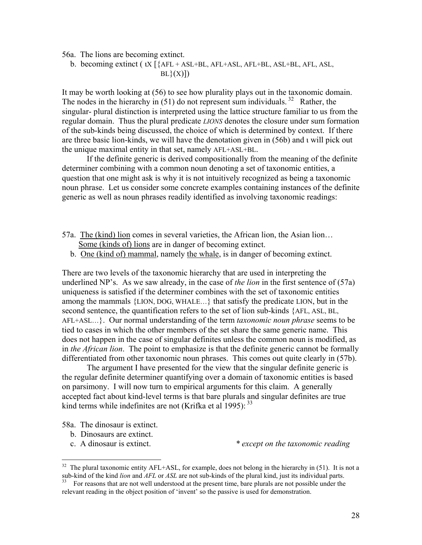56a. The lions are becoming extinct.

b. becoming extinct ( $\alpha$  [{AFL + ASL+BL, AFL+ASL, AFL+BL, ASL+BL, AFL, ASL,  $BL\}(X)$ ])

It may be worth looking at (56) to see how plurality plays out in the taxonomic domain. The nodes in the hierarchy in  $(51)$  do not represent sum individuals.<sup>32</sup> Rather, the singular- plural distinction is interpreted using the lattice structure familiar to us from the regular domain. Thus the plural predicate *LIONS* denotes the closure under sum formation of the sub-kinds being discussed, the choice of which is determined by context. If there are three basic lion-kinds, we will have the denotation given in (56b) and ι will pick out the unique maximal entity in that set, namely AFL+ASL+BL.

If the definite generic is derived compositionally from the meaning of the definite determiner combining with a common noun denoting a set of taxonomic entities, a question that one might ask is why it is not intuitively recognized as being a taxonomic noun phrase. Let us consider some concrete examples containing instances of the definite generic as well as noun phrases readily identified as involving taxonomic readings:

- 57a. The (kind) lion comes in several varieties, the African lion, the Asian lion… Some (kinds of) lions are in danger of becoming extinct.
	- b. One (kind of) mammal, namely the whale, is in danger of becoming extinct.

There are two levels of the taxonomic hierarchy that are used in interpreting the underlined NP's. As we saw already, in the case of *the lion* in the first sentence of (57a) uniqueness is satisfied if the determiner combines with the set of taxonomic entities among the mammals {LION, DOG, WHALE…} that satisfy the predicate LION, but in the second sentence, the quantification refers to the set of lion sub-kinds {AFL, ASL, BL, AFL+ASL…}. Our normal understanding of the term *taxonomic noun phrase* seems to be tied to cases in which the other members of the set share the same generic name. This does not happen in the case of singular definites unless the common noun is modified, as in *the African lion*. The point to emphasize is that the definite generic cannot be formally differentiated from other taxonomic noun phrases. This comes out quite clearly in (57b).

The argument I have presented for the view that the singular definite generic is the regular definite determiner quantifying over a domain of taxonomic entities is based on parsimony. I will now turn to empirical arguments for this claim. A generally accepted fact about kind-level terms is that bare plurals and singular definites are true kind terms while indefinites are not (Krifka et al 1995):  $33$ 

58a. The dinosaur is extinct.

- b. Dinosaurs are extinct.
- 

 $\overline{a}$ 

c. A dinosaur is extinct. *\* except on the taxonomic reading*

<span id="page-27-0"></span><sup>&</sup>lt;sup>32</sup> The plural taxonomic entity AFL+ASL, for example, does not belong in the hierarchy in (51). It is not a sub-kind of the kind *lion* and *AFL* or *ASL* are not sub-kinds of the plural kind, just its individual parts.

<span id="page-27-1"></span><sup>&</sup>lt;sup>33</sup> For reasons that are not well understood at the present time, bare plurals are not possible under the relevant reading in the object position of 'invent' so the passive is used for demonstration.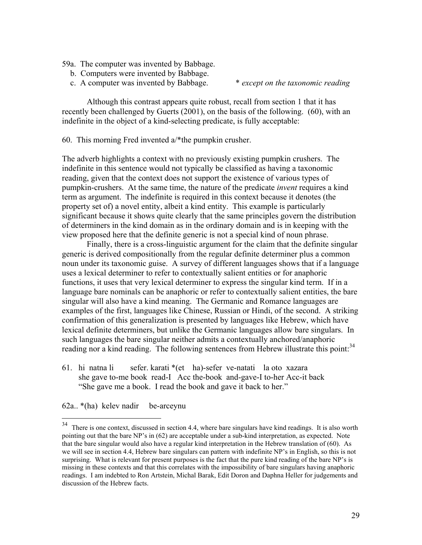- 59a. The computer was invented by Babbage.
	- b. Computers were invented by Babbage.
	- c. A computer was invented by Babbage. \* *except on the taxonomic reading*

Although this contrast appears quite robust, recall from section 1 that it has recently been challenged by Guerts (2001), on the basis of the following. (60), with an indefinite in the object of a kind-selecting predicate, is fully acceptable:

60. This morning Fred invented a/\*the pumpkin crusher.

The adverb highlights a context with no previously existing pumpkin crushers. The indefinite in this sentence would not typically be classified as having a taxonomic reading, given that the context does not support the existence of various types of pumpkin-crushers. At the same time, the nature of the predicate *invent* requires a kind term as argument. The indefinite is required in this context because it denotes (the property set of) a novel entity, albeit a kind entity. This example is particularly significant because it shows quite clearly that the same principles govern the distribution of determiners in the kind domain as in the ordinary domain and is in keeping with the view proposed here that the definite generic is not a special kind of noun phrase.

Finally, there is a cross-linguistic argument for the claim that the definite singular generic is derived compositionally from the regular definite determiner plus a common noun under its taxonomic guise. A survey of different languages shows that if a language uses a lexical determiner to refer to contextually salient entities or for anaphoric functions, it uses that very lexical determiner to express the singular kind term. If in a language bare nominals can be anaphoric or refer to contextually salient entities, the bare singular will also have a kind meaning. The Germanic and Romance languages are examples of the first, languages like Chinese, Russian or Hindi, of the second. A striking confirmation of this generalization is presented by languages like Hebrew, which have lexical definite determiners, but unlike the Germanic languages allow bare singulars. In such languages the bare singular neither admits a contextually anchored/anaphoric reading nor a kind reading. The following sentences from Hebrew illustrate this point:<sup>[34](#page-28-0)</sup>

61. hi natna li sefer. karati \*(et ha)-sefer ve-natati la oto xazara she gave to-me book read-I Acc the-book and-gave-I to-her Acc-it back "She gave me a book. I read the book and gave it back to her."

62a.. \*(ha) kelev nadir be-arceynu

<span id="page-28-0"></span> $34$  There is one context, discussed in section 4.4, where bare singulars have kind readings. It is also worth pointing out that the bare NP's in (62) are acceptable under a sub-kind interpretation, as expected. Note that the bare singular would also have a regular kind interpretation in the Hebrew translation of (60). As we will see in section 4.4, Hebrew bare singulars can pattern with indefinite NP's in English, so this is not surprising. What is relevant for present purposes is the fact that the pure kind reading of the bare NP's is missing in these contexts and that this correlates with the impossibility of bare singulars having anaphoric readings. I am indebted to Ron Artstein, Michal Barak, Edit Doron and Daphna Heller for judgements and discussion of the Hebrew facts.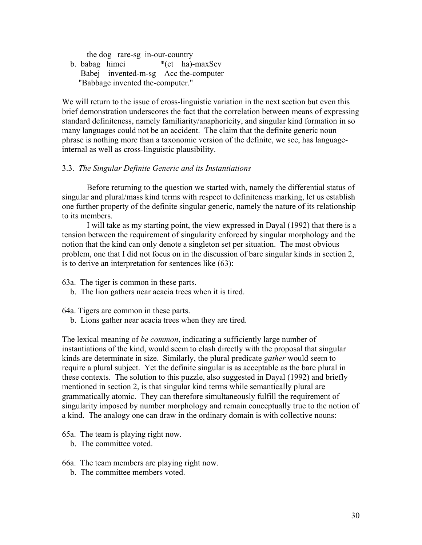the dog rare-sg in-our-country b. babag himci \*(et ha)-maxSev Babej invented-m-sg Acc the-computer

"Babbage invented the-computer."

We will return to the issue of cross-linguistic variation in the next section but even this brief demonstration underscores the fact that the correlation between means of expressing standard definiteness, namely familiarity/anaphoricity, and singular kind formation in so many languages could not be an accident. The claim that the definite generic noun phrase is nothing more than a taxonomic version of the definite, we see, has languageinternal as well as cross-linguistic plausibility.

# 3.3. *The Singular Definite Generic and its Instantiations*

Before returning to the question we started with, namely the differential status of singular and plural/mass kind terms with respect to definiteness marking, let us establish one further property of the definite singular generic, namely the nature of its relationship to its members.

I will take as my starting point, the view expressed in Dayal (1992) that there is a tension between the requirement of singularity enforced by singular morphology and the notion that the kind can only denote a singleton set per situation. The most obvious problem, one that I did not focus on in the discussion of bare singular kinds in section 2, is to derive an interpretation for sentences like (63):

63a. The tiger is common in these parts.

b. The lion gathers near acacia trees when it is tired.

64a. Tigers are common in these parts.

b. Lions gather near acacia trees when they are tired.

The lexical meaning of *be common*, indicating a sufficiently large number of instantiations of the kind, would seem to clash directly with the proposal that singular kinds are determinate in size. Similarly, the plural predicate *gather* would seem to require a plural subject. Yet the definite singular is as acceptable as the bare plural in these contexts. The solution to this puzzle, also suggested in Dayal (1992) and briefly mentioned in section 2, is that singular kind terms while semantically plural are grammatically atomic. They can therefore simultaneously fulfill the requirement of singularity imposed by number morphology and remain conceptually true to the notion of a kind. The analogy one can draw in the ordinary domain is with collective nouns:

65a. The team is playing right now.

b. The committee voted.

- 66a. The team members are playing right now.
	- b. The committee members voted.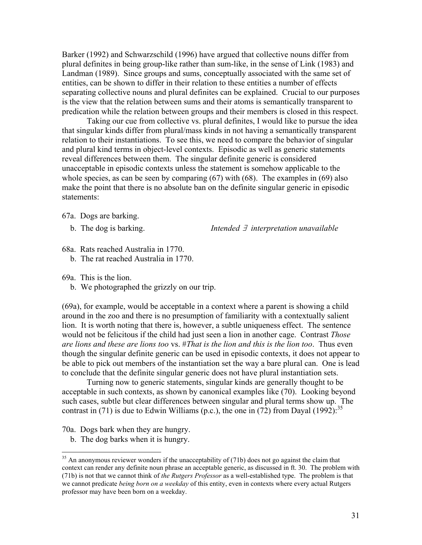Barker (1992) and Schwarzschild (1996) have argued that collective nouns differ from plural definites in being group-like rather than sum-like, in the sense of Link (1983) and Landman (1989). Since groups and sums, conceptually associated with the same set of entities, can be shown to differ in their relation to these entities a number of effects separating collective nouns and plural definites can be explained. Crucial to our purposes is the view that the relation between sums and their atoms is semantically transparent to predication while the relation between groups and their members is closed in this respect.

Taking our cue from collective vs. plural definites, I would like to pursue the idea that singular kinds differ from plural/mass kinds in not having a semantically transparent relation to their instantiations. To see this, we need to compare the behavior of singular and plural kind terms in object-level contexts. Episodic as well as generic statements reveal differences between them. The singular definite generic is considered unacceptable in episodic contexts unless the statement is somehow applicable to the whole species, as can be seen by comparing (67) with (68). The examples in (69) also make the point that there is no absolute ban on the definite singular generic in episodic statements:

67a. Dogs are barking.

b. The dog is barking. *Intended* ∃ *interpretation unavailable* 

68a. Rats reached Australia in 1770. b. The rat reached Australia in 1770.

69a. This is the lion.

b. We photographed the grizzly on our trip.

(69a), for example, would be acceptable in a context where a parent is showing a child around in the zoo and there is no presumption of familiarity with a contextually salient lion. It is worth noting that there is, however, a subtle uniqueness effect. The sentence would not be felicitous if the child had just seen a lion in another cage. Contrast *Those are lions and these are lions too* vs. #*That is the lion and this is the lion too*. Thus even though the singular definite generic can be used in episodic contexts, it does not appear to be able to pick out members of the instantiation set the way a bare plural can. One is lead to conclude that the definite singular generic does not have plural instantiation sets.

Turning now to generic statements, singular kinds are generally thought to be acceptable in such contexts, as shown by canonical examples like (70). Looking beyond such cases, subtle but clear differences between singular and plural terms show up. The contrast in (71) is due to Edwin Williams (p.c.), the one in (72) from Dayal (1992):<sup>[35](#page-30-0)</sup>

70a. Dogs bark when they are hungry.

 $\overline{a}$ 

b. The dog barks when it is hungry.

<span id="page-30-0"></span> $35$  An anonymous reviewer wonders if the unacceptability of (71b) does not go against the claim that context can render any definite noun phrase an acceptable generic, as discussed in ft. 30. The problem with (71b) is not that we cannot think of *the Rutgers Professor* as a well-established type. The problem is that we cannot predicate *being born on a weekday* of this entity, even in contexts where every actual Rutgers professor may have been born on a weekday.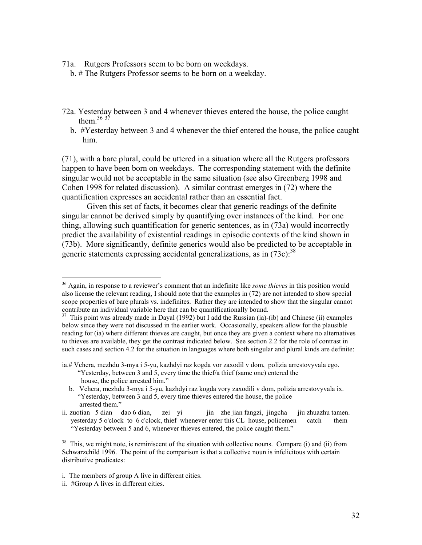71a. Rutgers Professors seem to be born on weekdays.

b. # The Rutgers Professor seems to be born on a weekday.

- 72a. Yesterday between 3 and 4 whenever thieves entered the house, the police caught them. $36\frac{37}{7}$  $36\frac{37}{7}$  $36\frac{37}{7}$  $36\frac{37}{7}$ 
	- b. #Yesterday between 3 and 4 whenever the thief entered the house, the police caught him.

(71), with a bare plural, could be uttered in a situation where all the Rutgers professors happen to have been born on weekdays. The corresponding statement with the definite singular would not be acceptable in the same situation (see also Greenberg 1998 and Cohen 1998 for related discussion). A similar contrast emerges in (72) where the quantification expresses an accidental rather than an essential fact.

Given this set of facts, it becomes clear that generic readings of the definite singular cannot be derived simply by quantifying over instances of the kind. For one thing, allowing such quantification for generic sentences, as in (73a) would incorrectly predict the availability of existential readings in episodic contexts of the kind shown in (73b). More significantly, definite generics would also be predicted to be acceptable in generic statements expressing accidental generalizations, as in  $(73c)$ :  $38$ 

<span id="page-31-0"></span><sup>36</sup> Again, in response to a reviewer's comment that an indefinite like *some thieves* in this position would also license the relevant reading, I should note that the examples in (72) are not intended to show special scope properties of bare plurals vs. indefinites. Rather they are intended to show that the singular cannot contribute an individual variable here that can be quantificationally bound.<br><sup>37</sup> This point was already made in Dayal (1992) but I add the Russian (ia)-(ib) and Chinese (ii) examples

<span id="page-31-1"></span>below since they were not discussed in the earlier work. Occasionally, speakers allow for the plausible reading for (ia) where different thieves are caught, but once they are given a context where no alternatives to thieves are available, they get the contrast indicated below. See section 2.2 for the role of contrast in such cases and section 4.2 for the situation in languages where both singular and plural kinds are definite:

ia.# Vchera, mezhdu 3-mya i 5-yu, kazhdyi raz kogda vor zaxodil v dom, polizia arrestovyvala ego. "Yesterday, between 3 and 5, every time the thief/a thief (same one) entered the house, the police arrested him."

b. Vchera, mezhdu 3-mya i 5-yu, kazhdyi raz kogda vory zaxodili v dom, polizia arrestovyvala ix. "Yesterday, between 3 and 5, every time thieves entered the house, the police arrested them."

ii. zuotian 5 dian dao 6 dian, zei yi jin zhe jian fangzi, jingcha jiu zhuazhu tamen. yesterday 5 o'clock to 6 c'clock, thief whenever enter this CL house, policemen catch them "Yesterday between 5 and 6, whenever thieves entered, the police caught them."

<span id="page-31-2"></span><sup>&</sup>lt;sup>38</sup> This, we might note, is reminiscent of the situation with collective nouns. Compare (i) and (ii) from Schwarzchild 1996. The point of the comparison is that a collective noun is infelicitous with certain distributive predicates:

i. The members of group A live in different cities.

ii. #Group A lives in different cities.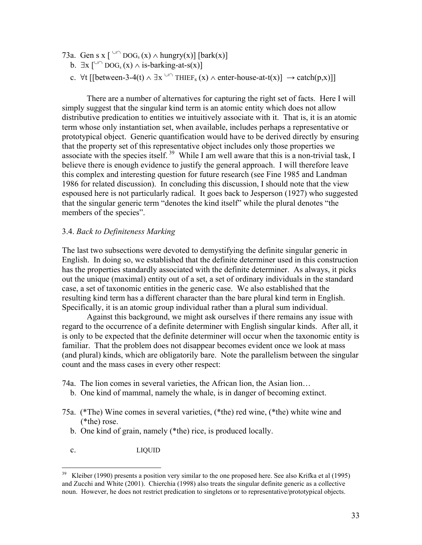- 73a. Gen s x  $\int^{\cup\cap}$  DOG<sub>s</sub> (x)  $\wedge$  hungry(x)] [bark(x)]
	- b.  $\exists x \int^{\cup}$  DOG<sub>s</sub> (x)  $\land$  is-barking-at-s(x)]
	- c.  $\forall$ t [[between-3-4(t) ∧ ∃x <sup>∪∩</sup> THIEF<sub>s</sub> (x) ∧ enter-house-at-t(x)]  $\rightarrow$  catch(p,x)]]

There are a number of alternatives for capturing the right set of facts. Here I will simply suggest that the singular kind term is an atomic entity which does not allow distributive predication to entities we intuitively associate with it. That is, it is an atomic term whose only instantiation set, when available, includes perhaps a representative or prototypical object. Generic quantification would have to be derived directly by ensuring that the property set of this representative object includes only those properties we associate with the species itself.<sup>39</sup> While I am well aware that this is a non-trivial task, I believe there is enough evidence to justify the general approach. I will therefore leave this complex and interesting question for future research (see Fine 1985 and Landman 1986 for related discussion). In concluding this discussion, I should note that the view espoused here is not particularly radical. It goes back to Jesperson (1927) who suggested that the singular generic term "denotes the kind itself" while the plural denotes "the members of the species".

### 3.4. *Back to Definiteness Marking*

The last two subsections were devoted to demystifying the definite singular generic in English. In doing so, we established that the definite determiner used in this construction has the properties standardly associated with the definite determiner. As always, it picks out the unique (maximal) entity out of a set, a set of ordinary individuals in the standard case, a set of taxonomic entities in the generic case. We also established that the resulting kind term has a different character than the bare plural kind term in English. Specifically, it is an atomic group individual rather than a plural sum individual.

Against this background, we might ask ourselves if there remains any issue with regard to the occurrence of a definite determiner with English singular kinds. After all, it is only to be expected that the definite determiner will occur when the taxonomic entity is familiar. That the problem does not disappear becomes evident once we look at mass (and plural) kinds, which are obligatorily bare. Note the parallelism between the singular count and the mass cases in every other respect:

- 74a. The lion comes in several varieties, the African lion, the Asian lion…
	- b. One kind of mammal, namely the whale, is in danger of becoming extinct.
- 75a. (\*The) Wine comes in several varieties, (\*the) red wine, (\*the) white wine and (\*the) rose.
	- b. One kind of grain, namely (\*the) rice, is produced locally.
	- c. LIQUID

<span id="page-32-0"></span> $39$  Kleiber (1990) presents a position very similar to the one proposed here. See also Krifka et al (1995) and Zucchi and White (2001). Chierchia (1998) also treats the singular definite generic as a collective noun. However, he does not restrict predication to singletons or to representative/prototypical objects.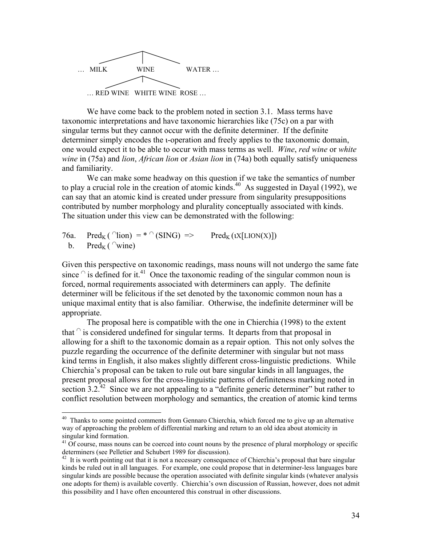

We have come back to the problem noted in section 3.1. Mass terms have taxonomic interpretations and have taxonomic hierarchies like (75c) on a par with singular terms but they cannot occur with the definite determiner. If the definite determiner simply encodes the ι-operation and freely applies to the taxonomic domain, one would expect it to be able to occur with mass terms as well. *Wine*, *red wine* or *white wine* in (75a) and *lion*, *African lion* or *Asian lion* in (74a) both equally satisfy uniqueness and familiarity.

We can make some headway on this question if we take the semantics of number to play a crucial role in the creation of atomic kinds.<sup>40</sup> As suggested in Dayal (1992), we can say that an atomic kind is created under pressure from singularity presuppositions contributed by number morphology and plurality conceptually associated with kinds. The situation under this view can be demonstrated with the following:

76a. Pred<sub>K</sub> (  $\cap$ lion) = \*  $\cap$  (SING) => Pred<sub>K</sub> ( $X[LION(X)]$ ) b. Pred<sub>K</sub> (  $\sqrt{\ }$ wine)

 $\overline{a}$ 

Given this perspective on taxonomic readings, mass nouns will not undergo the same fate since  $\hat{ }$  is defined for it.<sup>41</sup> Once the taxonomic reading of the singular common noun is forced, normal requirements associated with determiners can apply. The definite determiner will be felicitous if the set denoted by the taxonomic common noun has a unique maximal entity that is also familiar. Otherwise, the indefinite determiner will be appropriate.

The proposal here is compatible with the one in Chierchia (1998) to the extent that  $\hat{\ }$  is considered undefined for singular terms. It departs from that proposal in allowing for a shift to the taxonomic domain as a repair option. This not only solves the puzzle regarding the occurrence of the definite determiner with singular but not mass kind terms in English, it also makes slightly different cross-linguistic predictions. While Chierchia's proposal can be taken to rule out bare singular kinds in all languages, the present proposal allows for the cross-linguistic patterns of definiteness marking noted in section  $3.2<sup>42</sup>$  Since we are not appealing to a "definite generic determiner" but rather to conflict resolution between morphology and semantics, the creation of atomic kind terms

<span id="page-33-0"></span><sup>&</sup>lt;sup>40</sup> Thanks to some pointed comments from Gennaro Chierchia, which forced me to give up an alternative way of approaching the problem of differential marking and return to an old idea about atomicity in

<span id="page-33-1"></span> $\frac{41}{10}$  Of course, mass nouns can be coerced into count nouns by the presence of plural morphology or specific determiners (see Pelletier and Schubert 1989 for discussion).<br><sup>42</sup> It is worth pointing out that it is not a necessary consequence of Chierchia's proposal that bare singular

<span id="page-33-2"></span>kinds be ruled out in all languages. For example, one could propose that in determiner-less languages bare singular kinds are possible because the operation associated with definite singular kinds (whatever analysis one adopts for them) is available covertly. Chierchia's own discussion of Russian, however, does not admit this possibility and I have often encountered this construal in other discussions.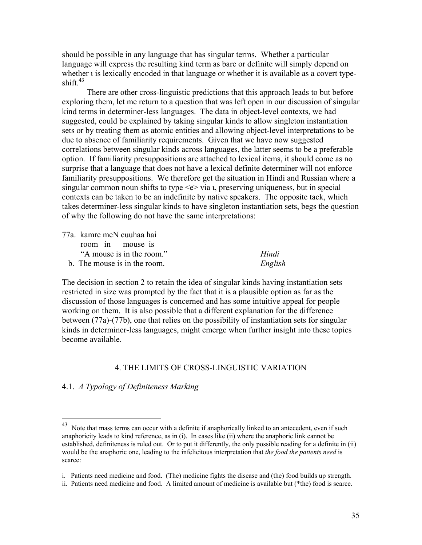should be possible in any language that has singular terms. Whether a particular language will express the resulting kind term as bare or definite will simply depend on whether ι is lexically encoded in that language or whether it is available as a covert typeshift. $43$ 

There are other cross-linguistic predictions that this approach leads to but before exploring them, let me return to a question that was left open in our discussion of singular kind terms in determiner-less languages. The data in object-level contexts, we had suggested, could be explained by taking singular kinds to allow singleton instantiation sets or by treating them as atomic entities and allowing object-level interpretations to be due to absence of familiarity requirements. Given that we have now suggested correlations between singular kinds across languages, the latter seems to be a preferable option. If familiarity presuppositions are attached to lexical items, it should come as no surprise that a language that does not have a lexical definite determiner will not enforce familiarity presuppositions. We therefore get the situation in Hindi and Russian where a singular common noun shifts to type  $\leq e$  via *u*, preserving uniqueness, but in special contexts can be taken to be an indefinite by native speakers. The opposite tack, which takes determiner-less singular kinds to have singleton instantiation sets, begs the question of why the following do not have the same interpretations:

77a. kamre meN cuuhaa hai room in mouse is "A mouse is in the room." *Hindi* 

b. The mouse is in the room. *English*

The decision in section 2 to retain the idea of singular kinds having instantiation sets restricted in size was prompted by the fact that it is a plausible option as far as the discussion of those languages is concerned and has some intuitive appeal for people working on them. It is also possible that a different explanation for the difference between (77a)-(77b), one that relies on the possibility of instantiation sets for singular kinds in determiner-less languages, might emerge when further insight into these topics become available.

# 4. THE LIMITS OF CROSS-LINGUISTIC VARIATION

## 4.1. *A Typology of Definiteness Marking*

<span id="page-34-0"></span><sup>&</sup>lt;sup>43</sup> Note that mass terms can occur with a definite if anaphorically linked to an antecedent, even if such anaphoricity leads to kind reference, as in (i). In cases like (ii) where the anaphoric link cannot be established, definiteness is ruled out. Or to put it differently, the only possible reading for a definite in (ii) would be the anaphoric one, leading to the infelicitous interpretation that *the food the patients need* is scarce:

i. Patients need medicine and food. (The) medicine fights the disease and (the) food builds up strength.

ii. Patients need medicine and food. A limited amount of medicine is available but (\*the) food is scarce.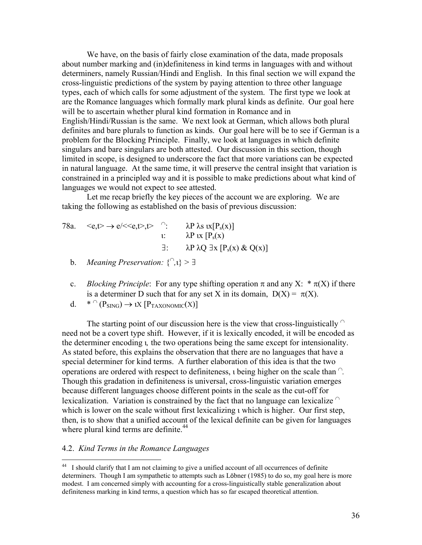We have, on the basis of fairly close examination of the data, made proposals about number marking and (in)definiteness in kind terms in languages with and without determiners, namely Russian/Hindi and English. In this final section we will expand the cross-linguistic predictions of the system by paying attention to three other language types, each of which calls for some adjustment of the system. The first type we look at are the Romance languages which formally mark plural kinds as definite. Our goal here will be to ascertain whether plural kind formation in Romance and in English/Hindi/Russian is the same. We next look at German, which allows both plural definites and bare plurals to function as kinds. Our goal here will be to see if German is a problem for the Blocking Principle. Finally, we look at languages in which definite singulars and bare singulars are both attested. Our discussion in this section, though limited in scope, is designed to underscore the fact that more variations can be expected in natural language. At the same time, it will preserve the central insight that variation is constrained in a principled way and it is possible to make predictions about what kind of languages we would not expect to see attested.

Let me recap briefly the key pieces of the account we are exploring. We are taking the following as established on the basis of previous discussion:

- 78a.  $\langle e, t \rangle \rightarrow e/\langle e, t \rangle, t$   $\cap$ :  $\lambda P \lambda s \alpha [P_s(x)]$ ι:  $\lambda P$  ιx  $[P_s(x)]$ ∃: λP λQ ∃x [Ps(x) & Q(x)]
	- b. *Meaning Preservation:*  $\{^{\cap}, \mathbf{l} \} > \exists$
	- c. *Blocking Principle*: For any type shifting operation  $\pi$  and any X:  $*\pi(X)$  if there is a determiner D such that for any set X in its domain,  $D(X) = \pi(X)$ .
	- d.  $*$   $\cap$  (P<sub>SING</sub>)  $\rightarrow$  1X [P<sub>TAXONOMIC</sub>(X)]

The starting point of our discussion here is the view that cross-linguistically  $\cap$ need not be a covert type shift. However, if it is lexically encoded, it will be encoded as the determiner encoding ι*,* the two operations being the same except for intensionality. As stated before, this explains the observation that there are no languages that have a special determiner for kind terms. A further elaboration of this idea is that the two operations are ordered with respect to definiteness, ι being higher on the scale than <sup>∩</sup>*.* Though this gradation in definiteness is universal, cross-linguistic variation emerges because different languages choose different points in the scale as the cut-off for lexicalization. Variation is constrained by the fact that no language can lexicalize  $\cap$ which is lower on the scale without first lexicalizing ι which is higher. Our first step, then, is to show that a unified account of the lexical definite can be given for languages where plural kind terms are definite.<sup>[44](#page-35-0)</sup>

### 4.2. *Kind Terms in the Romance Languages*

<u>.</u>

<span id="page-35-0"></span><sup>&</sup>lt;sup>44</sup> I should clarify that I am not claiming to give a unified account of all occurrences of definite determiners. Though I am sympathetic to attempts such as Löbner (1985) to do so, my goal here is more modest. I am concerned simply with accounting for a cross-linguistically stable generalization about definiteness marking in kind terms, a question which has so far escaped theoretical attention.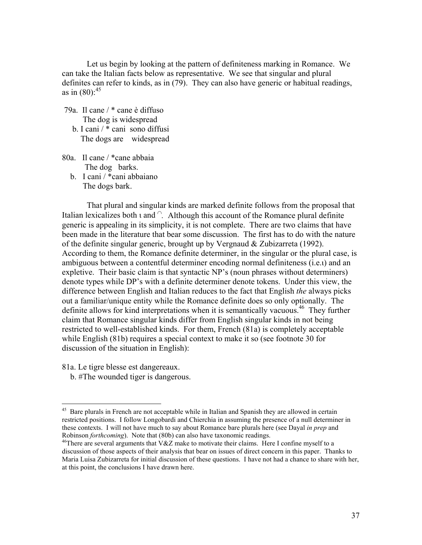Let us begin by looking at the pattern of definiteness marking in Romance. We can take the Italian facts below as representative. We see that singular and plural definites can refer to kinds, as in (79). They can also have generic or habitual readings, as in  $(80)$ :<sup>45</sup>

- 79a. Il cane / \* cane è diffuso The dog is widespread b. I cani / \* cani sono diffusi
	- The dogs are widespread
- 80a. Il cane / \*cane abbaia The dog barks.
	- b. I cani / \*cani abbaiano The dogs bark.

That plural and singular kinds are marked definite follows from the proposal that Italian lexicalizes both ι and <sup>∩</sup>*.* Although this account of the Romance plural definite generic is appealing in its simplicity, it is not complete. There are two claims that have been made in the literature that bear some discussion. The first has to do with the nature of the definite singular generic, brought up by Vergnaud & Zubizarreta (1992). According to them, the Romance definite determiner, in the singular or the plural case, is ambiguous between a contentful determiner encoding normal definiteness (i.e.ι) and an expletive. Their basic claim is that syntactic NP's (noun phrases without determiners) denote types while DP's with a definite determiner denote tokens. Under this view, the difference between English and Italian reduces to the fact that English *the* always picks out a familiar/unique entity while the Romance definite does so only optionally. The definite allows for kind interpretations when it is semantically vacuous.<sup>46</sup> They further claim that Romance singular kinds differ from English singular kinds in not being restricted to well-established kinds. For them, French (81a) is completely acceptable while English (81b) requires a special context to make it so (see footnote 30 for discussion of the situation in English):

81a. Le tigre blesse est dangereaux.

b. #The wounded tiger is dangerous.

<span id="page-36-0"></span><sup>45</sup> 45 Bare plurals in French are not acceptable while in Italian and Spanish they are allowed in certain restricted positions. I follow Longobardi and Chierchia in assuming the presence of a null determiner in these contexts. I will not have much to say about Romance bare plurals here (see Dayal *in prep* and

<span id="page-36-1"></span><sup>&</sup>lt;sup>46</sup>There are several arguments that V&Z make to motivate their claims. Here I confine myself to a discussion of those aspects of their analysis that bear on issues of direct concern in this paper. Thanks to Maria Luisa Zubizarreta for initial discussion of these questions. I have not had a chance to share with her, at this point, the conclusions I have drawn here.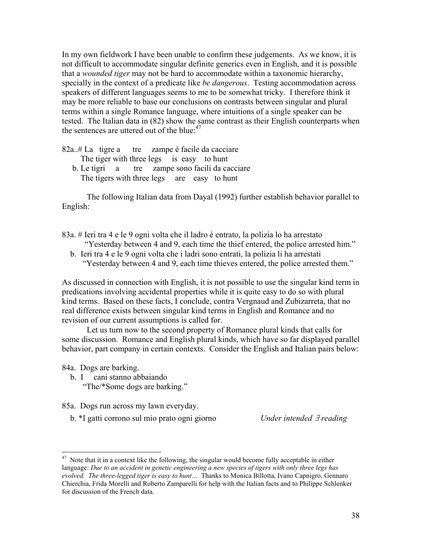In my own fieldwork I have been unable to confirm these judgements. As we know, it is not difficult to accommodate singular definite generics even in English, and it is possible that a *wounded tiger* may not be hard to accommodate within a taxonomic hierarchy, specially in the context of a predicate like *be dangerous*. Testing accommodation across speakers of different languages seems to me to be somewhat tricky. I therefore think it may be more reliable to base our conclusions on contrasts between singular and plural terms within a single Romance language, where intuitions of a single speaker can be tested. The Italian data in (82) show the same contrast as their English counterparts when the sentences are uttered out of the blue: $47$ 

- 82a..# La tigre a tre zampe è facile da cacciare The tiger with three legs is easy to hunt
	- b. Le tigri a tre zampe sono facili da cacciare The tigers with three legs are easy to hunt

The following Italian data from Dayal (1992) further establish behavior parallel to English:

- 83a. # Ieri tra 4 e le 9 ogni volta che il ladro è entrato, la polizia lo ha arrestato
	- "Yesterday between 4 and 9, each time the thief entered, the police arrested him."
	- b. Ieri tra 4 e le 9 ogni volta che i ladri sono entrati, la polizia li ha arrestati "Yesterday between 4 and 9, each time thieves entered, the police arrested them."

As discussed in connection with English, it is not possible to use the singular kind term in predications involving accidental properties while it is quite easy to do so with plural kind terms. Based on these facts, I conclude, contra Vergnaud and Zubizarreta, that no real difference exists between singular kind terms in English and Romance and no revision of our current assumptions is called for.

Let us turn now to the second property of Romance plural kinds that calls for some discussion. Romance and English plural kinds, which have so far displayed parallel behavior, part company in certain contexts. Consider the English and Italian pairs below:

84a. Dogs are barking.

- b. I cani stanno abbaiando "The/\*Some dogs are barking."
- 85a. Dogs run across my lawn everyday.
	- b. \*I gatti corrono sul mio prato ogni giorno *Under intended* ∃ *reading*

<span id="page-37-0"></span> $47$  Note that it in a context like the following, the singular would become fully acceptable in either language: *Due to an accident in genetic engineering a new species of tigers with only three legs has evolved. The three-legged tiger is easy to hunt…* Thanks to Monica Billotta, Ivano Capnigro, Gennaro Chierchia, Frida Morelli and Roberto Zamparelli for help with the Italian facts and to Philippe Schlenker for discussion of the French data.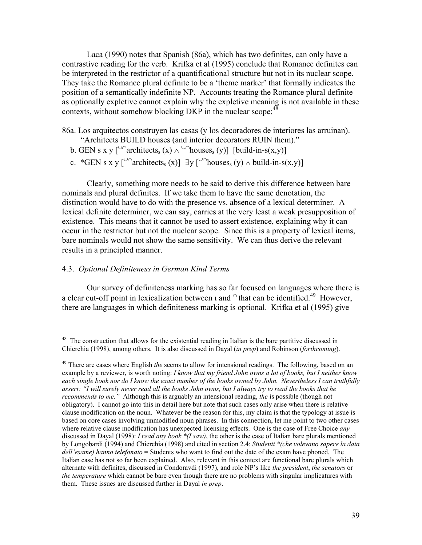Laca (1990) notes that Spanish (86a), which has two definites, can only have a contrastive reading for the verb. Krifka et al (1995) conclude that Romance definites can be interpreted in the restrictor of a quantificational structure but not in its nuclear scope. They take the Romance plural definite to be a 'theme marker' that formally indicates the position of a semantically indefinite NP. Accounts treating the Romance plural definite as optionally expletive cannot explain why the expletive meaning is not available in these contexts, without somehow blocking DKP in the nuclear scope:<sup>48</sup>

86a. Los arquitectos construyen las casas (y los decoradores de interiores las arruinan).

- "Architects BUILD houses (and interior decorators RUIN them)."
- b. GEN s x y [<sup>∪∩</sup>architects<sub>s</sub> (x)  $\land$  <sup>∪∩</sup>houses<sub>s</sub> (y)] [build-in-s(x,y)]
- c. \*GEN s x y [<sup>∪∩</sup>architects<sub>s</sub> (x)] ∃y [<sup>∪∩</sup>houses<sub>s</sub> (y) ∧ build-in-s(x,y)]

Clearly, something more needs to be said to derive this difference between bare nominals and plural definites. If we take them to have the same denotation, the distinction would have to do with the presence vs. absence of a lexical determiner. A lexical definite determiner, we can say, carries at the very least a weak presupposition of existence. This means that it cannot be used to assert existence, explaining why it can occur in the restrictor but not the nuclear scope. Since this is a property of lexical items, bare nominals would not show the same sensitivity. We can thus derive the relevant results in a principled manner.

# 4.3. *Optional Definiteness in German Kind Terms*

 $\overline{a}$ 

Our survey of definiteness marking has so far focused on languages where there is a clear cut-off point in lexicalization between  $\iota$  and  $\ulcorner$  that can be identified.<sup>49</sup> However, there are languages in which definiteness marking is optional. Krifka et al (1995) give

<span id="page-38-0"></span><sup>&</sup>lt;sup>48</sup> The construction that allows for the existential reading in Italian is the bare partitive discussed in Chierchia (1998), among others. It is also discussed in Dayal (*in prep*) and Robinson (*forthcoming*).

<span id="page-38-1"></span><sup>49</sup> There are cases where English *the* seems to allow for intensional readings. The following, based on an example by a reviewer, is worth noting: *I know that my friend John owns a lot of books, but I neither know each single book nor do I know the exact number of the books owned by John. Nevertheless I can truthfully assert: "I will surely never read all the books John owns, but I always try to read the books that he recommends to me."* Although this is arguably an intensional reading, *the* is possible (though not obligatory). I cannot go into this in detail here but note that such cases only arise when there is relative clause modification on the noun. Whatever be the reason for this, my claim is that the typology at issue is based on core cases involving unmodified noun phrases. In this connection, let me point to two other cases where relative clause modification has unexpected licensing effects. One is the case of Free Choice *any* discussed in Dayal (1998): *I read any book \*(I saw)*, the other is the case of Italian bare plurals mentioned by Longobardi (1994) and Chierchia (1998) and cited in section 2.4: *Studenti \*(che volevano sapere la data dell'esame) hanno telefonato* = Students who want to find out the date of the exam have phoned. The Italian case has not so far been explained. Also, relevant in this context are functional bare plurals which alternate with definites, discussed in Condoravdi (1997), and role NP's like *the president*, *the senators* or *the temperature* which cannot be bare even though there are no problems with singular implicatures with them. These issues are discussed further in Dayal *in prep*.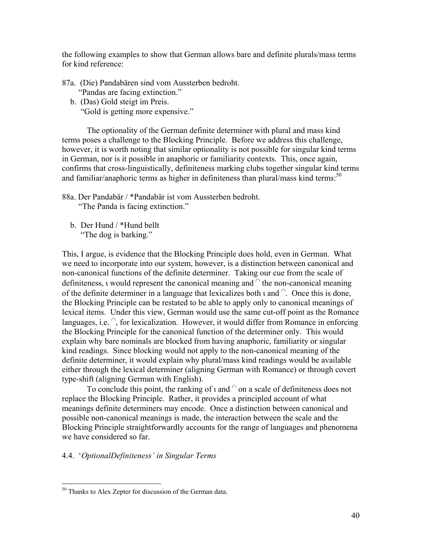the following examples to show that German allows bare and definite plurals/mass terms for kind reference:

- 87a. (Die) Pandabären sind vom Aussterben bedroht. "Pandas are facing extinction."
	- b. (Das) Gold steigt im Preis. "Gold is getting more expensive."

The optionality of the German definite determiner with plural and mass kind terms poses a challenge to the Blocking Principle. Before we address this challenge, however, it is worth noting that similar optionality is not possible for singular kind terms in German, nor is it possible in anaphoric or familiarity contexts. This, once again, confirms that cross-linguistically, definiteness marking clubs together singular kind terms and familiar/anaphoric terms as higher in definiteness than plural/mass kind terms: $50$ 

- 88a. Der Pandabär / \*Pandabär ist vom Aussterben bedroht. "The Panda is facing extinction."
	- b. Der Hund / \*Hund bellt "The dog is barking."

This, I argue, is evidence that the Blocking Principle does hold, even in German. What we need to incorporate into our system, however, is a distinction between canonical and non-canonical functions of the definite determiner. Taking our cue from the scale of definiteness, ι would represent the canonical meaning and <sup>∩</sup> the non-canonical meaning of the definite determiner in a language that lexicalizes both  $\iota$  and  $\iota$ . Once this is done, the Blocking Principle can be restated to be able to apply only to canonical meanings of lexical items. Under this view, German would use the same cut-off point as the Romance languages, i.e.  $\hat{a}$ , for lexicalization. However, it would differ from Romance in enforcing the Blocking Principle for the canonical function of the determiner only. This would explain why bare nominals are blocked from having anaphoric, familiarity or singular kind readings. Since blocking would not apply to the non-canonical meaning of the definite determiner, it would explain why plural/mass kind readings would be available either through the lexical determiner (aligning German with Romance) or through covert type-shift (aligning German with English).

To conclude this point, the ranking of  $\iota$  and  $\iota$  on a scale of definiteness does not replace the Blocking Principle. Rather, it provides a principled account of what meanings definite determiners may encode. Once a distinction between canonical and possible non-canonical meanings is made, the interaction between the scale and the Blocking Principle straightforwardly accounts for the range of languages and phenomena we have considered so far.

# 4.4. '*OptionalDefiniteness' in Singular Terms*

<span id="page-39-0"></span><sup>&</sup>lt;sup>50</sup> Thanks to Alex Zepter for discussion of the German data.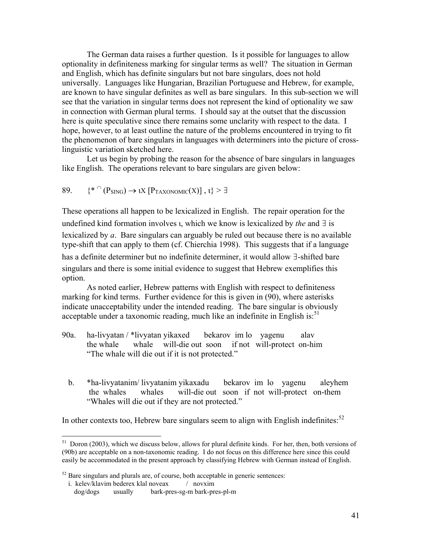<span id="page-40-1"></span>The German data raises a further question. Is it possible for languages to allow optionality in definiteness marking for singular terms as well? The situation in German and English, which has definite singulars but not bare singulars, does not hold universally. Languages like Hungarian, Brazilian Portuguese and Hebrew, for example, are known to have singular definites as well as bare singulars. In this sub-section we will see that the variation in singular terms does not represent the kind of optionality we saw in connection with German plural terms. I should say at the outset that the discussion here is quite speculative since there remains some unclarity with respect to the data. I hope, however, to at least outline the nature of the problems encountered in trying to fit the phenomenon of bare singulars in languages with determiners into the picture of crosslinguistic variation sketched here.

Let us begin by probing the reason for the absence of bare singulars in languages like English. The operations relevant to bare singulars are given below:

89. 
$$
{*^{\cap} (P_{\text{SING}}) \to \iota X [P_{\text{TAXONOMIC}}(X)], \iota} > \exists
$$

These operations all happen to be lexicalized in English. The repair operation for the undefined kind formation involves ι, which we know is lexicalized by *the* and ∃ is lexicalized by *a*. Bare singulars can arguably be ruled out because there is no available type-shift that can apply to them (cf. Chierchia 1998). This suggests that if a language has a definite determiner but no indefinite determiner, it would allow ∃-shifted bare singulars and there is some initial evidence to suggest that Hebrew exemplifies this option.

As noted earlier, Hebrew patterns with English with respect to definiteness marking for kind terms. Further evidence for this is given in (90), where asterisks indicate unacceptability under the intended reading. The bare singular is obviously acceptable under a taxonomic reading, much like an indefinite in English is: $51$ 

- 90a. ha-livyatan / \*livyatan yikaxed bekarov im lo yagenu alav the whale whale will-die out soon if not will-protect on-him "The whale will die out if it is not protected."
	- b. \*ha-livyatanim/ livyatanim yikaxadu bekarov im lo yagenu aleyhem the whales whales will-die out soon if not will-protect on-them "Whales will die out if they are not protected."

In other contexts too, Hebrew bare singulars seem to align with English indefinites: $52$ 

<u>.</u>

<span id="page-40-0"></span> $51$  Doron (2003), which we discuss below, allows for plural definite kinds. For her, then, both versions of (90b) are acceptable on a non-taxonomic reading. I do not focus on this difference here since this could easily be accommodated in the present approach by classifying Hebrew with German instead of English.

 $52$  Bare singulars and plurals are, of course, both acceptable in generic sentences:

i. kelev/klavim bederex klal noveax / novxim

dog/dogs usually bark-pres-sg-m bark-pres-pl-m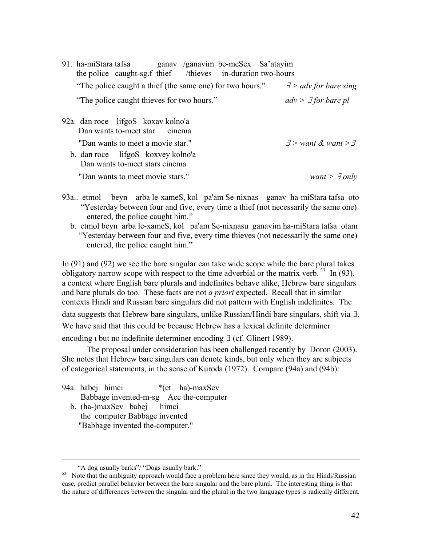| ganav /ganavim be-meSex Sa'atayim<br>91. ha-miStara tafsa<br>the police caught-sg f thief /thieves in-duration two-hours |                                     |
|--------------------------------------------------------------------------------------------------------------------------|-------------------------------------|
| "The police caught a thief (the same one) for two hours."                                                                | $\exists$ > adv for bare sing       |
| "The police caught thieves for two hours."                                                                               | $adv > \exists$ for bare pl         |
| 92a. dan roce lifgoS koxay kolno'a<br>Dan wants to-meet star cinema                                                      |                                     |
| "Dan wants to meet a movie star."<br>b. dan roce lifgoS koxvey kolno'a<br>Dan wants to-meet stars cinema                 | $\exists$ > want & want > $\exists$ |
| "Dan wants to meet movie stars."                                                                                         | want > $\exists$ only               |

- 93a.. etmol beyn arba le-xameS, kol pa'am Se-nixnas ganav ha-miStara tafsa oto "Yesterday between four and five, every time a thief (not necessarily the same one) entered, the police caught him."
	- b. etmol beyn arba le-xameS, kol pa'am Se-nixnasu ganavim ha-miStara tafsa otam "Yesterday between four and five, every time thieves (not necessarily the same one) entered, the police caught him."

In (91) and (92) we see the bare singular can take wide scope while the bare plural takes obligatory narrow scope with respect to the time adverbial or the matrix verb.  $^{53}$  In (93), a context where English bare plurals and indefinites behave alike, Hebrew bare singulars and bare plurals do too. These facts are not *a priori* expected. Recall that in similar contexts Hindi and Russian bare singulars did not pattern with English indefinites. The data suggests that Hebrew bare singulars, unlike Russian/Hindi bare singulars, shift via ∃. We have said that this could be because Hebrew has a lexical definite determiner encoding ι but no indefinite determiner encoding ∃ (cf. Glinert 1989).

The proposal under consideration has been challenged recently by Doron (2003). She notes that Hebrew bare singulars can denote kinds, but only when they are subjects of categorical statements, in the sense of Kuroda (1972). Compare (94a) and (94b):

94a. babej himci \*(et ha)-maxSev Babbage invented-m-sg Acc the-computer b. (ha-)maxSev babej himci the computer Babbage invented "Babbage invented the-computer."

<span id="page-41-0"></span>

<sup>&</sup>quot;A dog usually barks"/ "Dogs usually bark." Note that the ambiguity approach would face a problem here since they would, as in the Hindi/Russian Note that the ambiguity approach would face a problem here since they would, case, predict parallel behavior between the bare singular and the bare plural. The interesting thing is that the nature of differences between the singular and the plural in the two language types is radically different.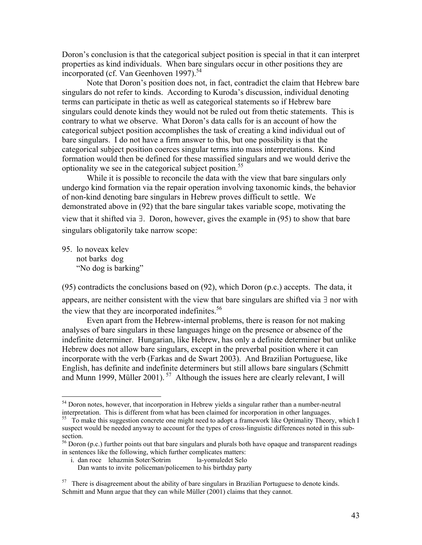Doron's conclusion is that the categorical subject position is special in that it can interpret properties as kind individuals. When bare singulars occur in other positions they are incorporated (cf. Van Geenhoven 1997).<sup>[54](#page-42-0)</sup>

Note that Doron's position does not, in fact, contradict the claim that Hebrew bare singulars do not refer to kinds. According to Kuroda's discussion, individual denoting terms can participate in thetic as well as categorical statements so if Hebrew bare singulars could denote kinds they would not be ruled out from thetic statements. This is contrary to what we observe. What Doron's data calls for is an account of how the categorical subject position accomplishes the task of creating a kind individual out of bare singulars. I do not have a firm answer to this, but one possibility is that the categorical subject position coerces singular terms into mass interpretations. Kind formation would then be defined for these massified singulars and we would derive the optionality we see in the categorical subject position.<sup>[55](#page-42-1)</sup>

While it is possible to reconcile the data with the view that bare singulars only undergo kind formation via the repair operation involving taxonomic kinds, the behavior of non-kind denoting bare singulars in Hebrew proves difficult to settle. We demonstrated above in (92) that the bare singular takes variable scope, motivating the view that it shifted via ∃. Doron, however, gives the example in (95) to show that bare singulars obligatorily take narrow scope:

95. lo noveax kelev not barks dog "No dog is barking"

 $\overline{a}$ 

(95) contradicts the conclusions based on (92), which Doron (p.c.) accepts. The data, it appears, are neither consistent with the view that bare singulars are shifted via ∃ nor with the view that they are incorporated indefinites. $56$ 

Even apart from the Hebrew-internal problems, there is reason for not making analyses of bare singulars in these languages hinge on the presence or absence of the indefinite determiner. Hungarian, like Hebrew, has only a definite determiner but unlike Hebrew does not allow bare singulars, except in the preverbal position where it can incorporate with the verb (Farkas and de Swart 2003). And Brazilian Portuguese, like English, has definite and indefinite determiners but still allows bare singulars (Schmitt and Munn 1999, Müller 2001).<sup>57</sup> Although the issues here are clearly relevant, I will

 i. dan roce lehazmin Soter/Sotrim la-yomuledet Selo Dan wants to invite policeman/policemen to his birthday party

<span id="page-42-0"></span> $54$  Doron notes, however, that incorporation in Hebrew yields a singular rather than a number-neutral interpretation. This is different from what has been claimed for incorporation in other languages.

<span id="page-42-1"></span><sup>&</sup>lt;sup>55</sup> To make this suggestion concrete one might need to adopt a framework like Optimality Theory, which I suspect would be needed anyway to account for the types of cross-linguistic differences noted in this subsection.<br><sup>56</sup> Doron (p.c.) further points out that bare singulars and plurals both have opaque and transparent readings

<span id="page-42-2"></span>in sentences like the following, which further complicates matters:

<span id="page-42-3"></span> $57$  There is disagreement about the ability of bare singulars in Brazilian Portuguese to denote kinds. Schmitt and Munn argue that they can while Müller (2001) claims that they cannot.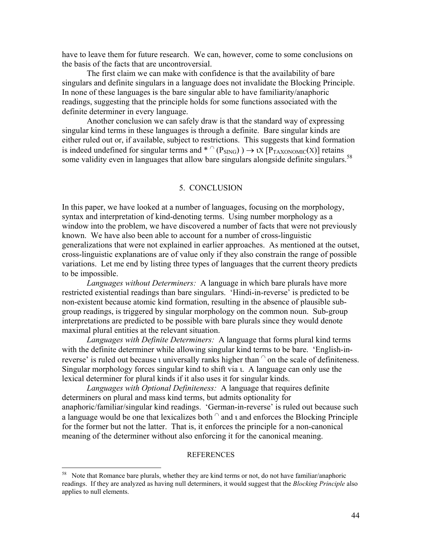have to leave them for future research. We can, however, come to some conclusions on the basis of the facts that are uncontroversial.

The first claim we can make with confidence is that the availability of bare singulars and definite singulars in a language does not invalidate the Blocking Principle. In none of these languages is the bare singular able to have familiarity/anaphoric readings, suggesting that the principle holds for some functions associated with the definite determiner in every language.

Another conclusion we can safely draw is that the standard way of expressing singular kind terms in these languages is through a definite. Bare singular kinds are either ruled out or, if available, subject to restrictions. This suggests that kind formation is indeed undefined for singular terms and \*  $\cap$  (P<sub>SING</sub>) )  $\rightarrow$  ιX [P<sub>TAXONOMIC</sub>(X)] retains some validity even in languages that allow bare singulars alongside definite singulars.<sup>[58](#page-43-0)</sup>

#### 5. CONCLUSION

In this paper, we have looked at a number of languages, focusing on the morphology, syntax and interpretation of kind-denoting terms. Using number morphology as a window into the problem, we have discovered a number of facts that were not previously known. We have also been able to account for a number of cross-linguistic generalizations that were not explained in earlier approaches. As mentioned at the outset, cross-linguistic explanations are of value only if they also constrain the range of possible variations. Let me end by listing three types of languages that the current theory predicts to be impossible.

*Languages without Determiners:* A language in which bare plurals have more restricted existential readings than bare singulars. 'Hindi-in-reverse' is predicted to be non-existent because atomic kind formation, resulting in the absence of plausible subgroup readings, is triggered by singular morphology on the common noun. Sub-group interpretations are predicted to be possible with bare plurals since they would denote maximal plural entities at the relevant situation.

*Languages with Definite Determiners:* A language that forms plural kind terms with the definite determiner while allowing singular kind terms to be bare. 'English-inreverse' is ruled out because  $\iota$  universally ranks higher than  $\circ$  on the scale of definiteness. Singular morphology forces singular kind to shift via ι. A language can only use the lexical determiner for plural kinds if it also uses it for singular kinds.

*Languages with Optional Definiteness:* A language that requires definite determiners on plural and mass kind terms, but admits optionality for anaphoric/familiar/singular kind readings. 'German-in-reverse' is ruled out because such a language would be one that lexicalizes both  $\cap$  and  $\iota$  and enforces the Blocking Principle for the former but not the latter. That is, it enforces the principle for a non-canonical meaning of the determiner without also enforcing it for the canonical meaning.

#### **REFERENCES**

<span id="page-43-0"></span><sup>&</sup>lt;sup>58</sup> Note that Romance bare plurals, whether they are kind terms or not, do not have familiar/anaphoric readings. If they are analyzed as having null determiners, it would suggest that the *Blocking Principle* also applies to null elements.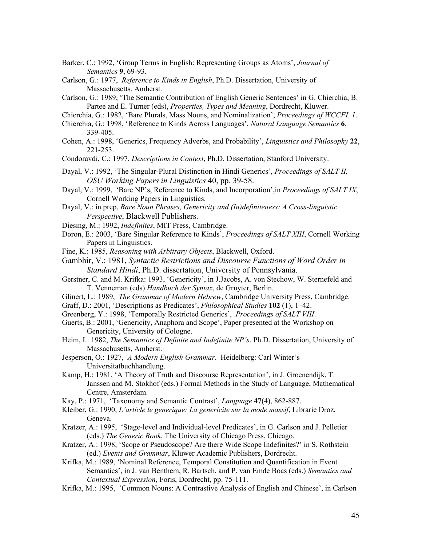Barker, C.: 1992, 'Group Terms in English: Representing Groups as Atoms', *Journal of Semantics* **9**, 69-93.

- Carlson, G.: 1977, *Reference to Kinds in English*, Ph.D. Dissertation, University of Massachusetts, Amherst.
- Carlson, G.: 1989, 'The Semantic Contribution of English Generic Sentences' in G. Chierchia, B. Partee and E. Turner (eds), *Properties, Types and Meaning*, Dordrecht, Kluwer.

Chierchia, G.: 1982, 'Bare Plurals, Mass Nouns, and Nominalization', *Proceedings of WCCFL 1*.

- Chierchia, G.: 1998, 'Reference to Kinds Across Languages', *Natural Language Semantics* **6**, 339-405.
- Cohen, A.: 1998, 'Generics, Frequency Adverbs, and Probability', *Linguistics and Philosophy* **22**, 221-253.
- Condoravdi, C.: 1997, *Descriptions in Context*, Ph.D. Dissertation, Stanford University.
- Dayal, V.: 1992, 'The Singular-Plural Distinction in Hindi Generics', *Proceedings of SALT II, OSU Working Papers in Linguistics* 40, pp. 39-58.
- Dayal, V.: 1999, 'Bare NP's, Reference to Kinds, and Incorporation',in *Proceedings of SALT IX*, Cornell Working Papers in Linguistics.
- Dayal, V.: in prep, *Bare Noun Phrases, Genericity and (In)definiteness: A Cross-linguistic Perspective*, Blackwell Publishers.
- Diesing, M.: 1992, *Indefinites*, MIT Press, Cambridge.
- Doron, E.: 2003, 'Bare Singular Reference to Kinds', *Proceedings of SALT XIII*, Cornell Working Papers in Linguistics.
- Fine, K.: 1985, *Reasoning with Arbitrary Objects*, Blackwell, Oxford.
- Gambhir, V.: 1981, *Syntactic Restrictions and Discourse Functions of Word Order in Standard Hindi*, Ph.D. dissertation, University of Pennsylvania.
- Gerstner, C. and M. Krifka: 1993, 'Genericity', in J.Jacobs, A. von Stechow, W. Sternefeld and T. Venneman (eds) *Handbuch der Syntax*, de Gruyter, Berlin.
- Glinert, L.: 1989, *The Grammar of Modern Hebrew*, Cambridge University Press, Cambridge.
- Graff, D.: 2001, 'Descriptions as Predicates', *Philosophical Studies* **102** (1), 1–42.
- Greenberg, Y.: 1998, 'Temporally Restricted Generics', *Proceedings of SALT VIII*.
- Guerts, B.: 2001, 'Genericity, Anaphora and Scope', Paper presented at the Workshop on Genericity, University of Cologne.
- Heim, I.: 1982, *The Semantics of Definite and Indefinite NP's*. Ph.D. Dissertation, University of Massachusetts, Amherst.
- Jesperson, O.: 1927, *A Modern English Grammar*. Heidelberg: Carl Winter's Universitatbuchhandlung.
- Kamp, H.: 1981, 'A Theory of Truth and Discourse Representation', in J. Groenendijk, T. Janssen and M. Stokhof (eds.) Formal Methods in the Study of Language, Mathematical Centre, Amsterdam.
- Kay, P.: 1971, 'Taxonomy and Semantic Contrast', *Language* **47**(4), 862-887.
- Kleiber, G.: 1990, *L'article le generique: La genericite sur la mode massif*, Librarie Droz, Geneva.
- Kratzer, A.: 1995, 'Stage-level and Individual-level Predicates', in G. Carlson and J. Pelletier (eds.) *The Generic Book*, The University of Chicago Press, Chicago.
- Kratzer, A.: 1998, 'Scope or Pseudoscope? Are there Wide Scope Indefinites?' in S. Rothstein (ed.) *Events and Grammar*, Kluwer Academic Publishers, Dordrecht.
- Krifka, M.: 1989, 'Nominal Reference, Temporal Constitution and Quantification in Event Semantics', in J. van Benthem, R. Bartsch, and P. van Emde Boas (eds.) *Semantics and Contextual Expression*, Foris, Dordrecht, pp. 75-111.
- Krifka, M.: 1995, 'Common Nouns: A Contrastive Analysis of English and Chinese', in Carlson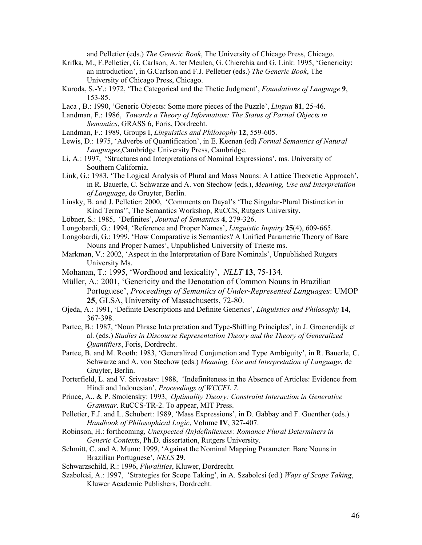and Pelletier (eds.) *The Generic Book*, The University of Chicago Press, Chicago.

- Krifka, M., F.Pelletier, G. Carlson, A. ter Meulen, G. Chierchia and G. Link: 1995, 'Genericity: an introduction', in G.Carlson and F.J. Pelletier (eds.) *The Generic Book*, The University of Chicago Press, Chicago.
- Kuroda, S.-Y.: 1972, 'The Categorical and the Thetic Judgment', *Foundations of Language* **9**, 153-85.
- Laca , B.: 1990, 'Generic Objects: Some more pieces of the Puzzle', *Lingua* **81**, 25-46.
- Landman, F.: 1986, *Towards a Theory of Information: The Status of Partial Objects in Semantics*, GRASS 6, Foris, Dordrecht.
- Landman, F.: 1989, Groups I, *Linguistics and Philosophy* **12**, 559-605.
- Lewis, D.: 1975, 'Adverbs of Quantification', in E. Keenan (ed) *Formal Semantics of Natural Languages*,Cambridge University Press, Cambridge.
- Li, A.: 1997, 'Structures and Interpretations of Nominal Expressions', ms. University of Southern California.
- Link, G.: 1983, 'The Logical Analysis of Plural and Mass Nouns: A Lattice Theoretic Approach', in R. Bauerle, C. Schwarze and A. von Stechow (eds.), *Meaning, Use and Interpretation of Language*, de Gruyter, Berlin.
- Linsky, B. and J. Pelletier: 2000, 'Comments on Dayal's 'The Singular-Plural Distinction in Kind Terms'', The Semantics Workshop, RuCCS, Rutgers University.
- Löbner, S.: 1985, 'Definites', *Journal of Semantics* **4**, 279-326.
- Longobardi, G.: 1994, 'Reference and Proper Names', *Linguistic Inquiry* **25**(4), 609-665.
- Longobardi, G.: 1999, 'How Comparative is Semantics? A Unified Parametric Theory of Bare Nouns and Proper Names', Unpublished University of Trieste ms.
- Markman, V.: 2002, 'Aspect in the Interpretation of Bare Nominals', Unpublished Rutgers University Ms.
- Mohanan, T.: 1995, 'Wordhood and lexicality', *NLLT* **13**, 75-134.
- Müller, A.: 2001, 'Genericity and the Denotation of Common Nouns in Brazilian Portuguese', *Proceedings of Semantics of Under-Represented Languages*: UMOP **25**, GLSA, University of Massachusetts, 72-80.
- Ojeda, A.: 1991, 'Definite Descriptions and Definite Generics', *Linguistics and Philosophy* **14**, 367-398.
- Partee, B.: 1987, 'Noun Phrase Interpretation and Type-Shifting Principles', in J. Groenendijk et al. (eds.) *Studies in Discourse Representation Theory and the Theory of Generalized Quantifiers*, Foris, Dordrecht.
- Partee, B. and M. Rooth: 1983, 'Generalized Conjunction and Type Ambiguity', in R. Bauerle, C. Schwarze and A. von Stechow (eds.) *Meaning, Use and Interpretation of Language*, de Gruyter, Berlin.
- Porterfield, L. and V. Srivastav: 1988, 'Indefiniteness in the Absence of Articles: Evidence from Hindi and Indonesian', *Proceedings of WCCFL 7.*
- Prince, A.. & P. Smolensky: 1993, *Optimality Theory: Constraint Interaction in Generative Grammar*. RuCCS-TR-2. To appear, MIT Press.
- Pelletier, F.J. and L. Schubert: 1989, 'Mass Expressions', in D. Gabbay and F. Guenther (eds.) *Handbook of Philosophical Logic*, Volume **IV**, 327-407.
- Robinson, H.: forthcoming, *Unexpected (In)definiteness: Romance Plural Determiners in Generic Contexts*, Ph.D. dissertation, Rutgers University.
- Schmitt, C. and A. Munn: 1999, 'Against the Nominal Mapping Parameter: Bare Nouns in Brazilian Portuguese', *NELS* **29**.
- Schwarzschild, R.: 1996, *Pluralities*, Kluwer, Dordrecht.
- Szabolcsi, A.: 1997, 'Strategies for Scope Taking', in A. Szabolcsi (ed.) *Ways of Scope Taking*, Kluwer Academic Publishers, Dordrecht.